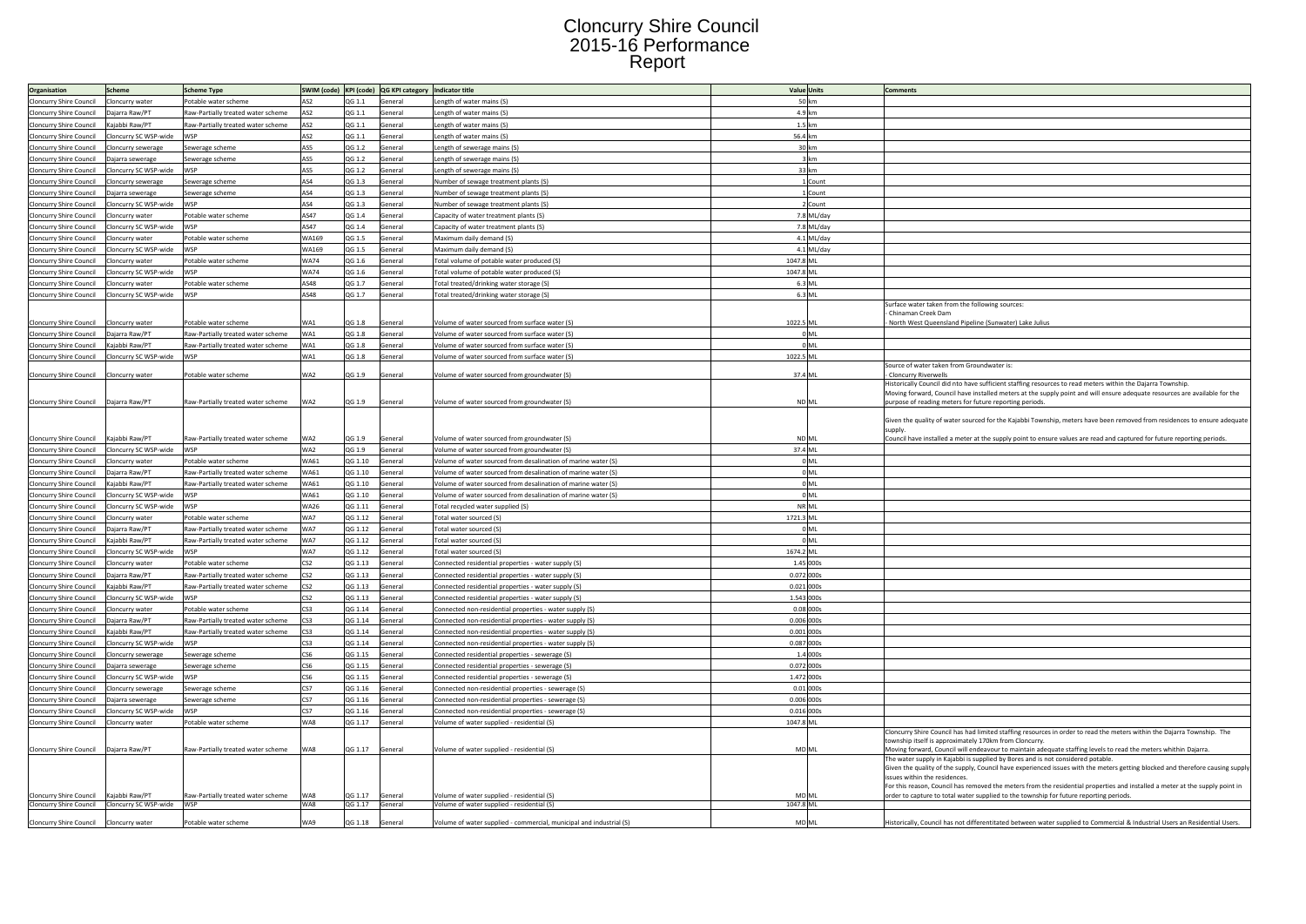## Cloncurry Shire Council 2015-16 Performance Report

| AS2<br>QG 1.1<br>50 km<br>Cloncurry Shire Council<br>Potable water scheme<br>General<br>ength of water mains (S)<br>Cloncurry water<br>4.9 km<br>Raw-Partially treated water scheme<br>AS2<br>QG 1.1<br>Cloncurry Shire Council<br>Daiarra Raw/PT<br>ength of water mains (S)<br>General<br>1.5 km<br>Cloncurry Shire Council<br>Kajabbi Raw/PT<br>Raw-Partially treated water scheme<br>AS <sub>2</sub><br>QG 1.1<br>General<br>Length of water mains (S)<br>Cloncurry SC WSP-wide<br>AS2<br>QG 1.1<br>56.4 km<br>Cloncurry Shire Council<br>General<br>ength of water mains (S)<br>30 km<br>AS5<br>Cloncurry Shire Council<br>QG 1.2<br>General<br>ength of sewerage mains (S)<br>Cloncurry sewerage<br>Sewerage scheme<br>AS5<br>QG 1.2<br>3 km<br><b>Cloncurry Shire Council</b><br>Sewerage scheme<br>General<br>ength of sewerage mains (S).<br>Dajarra sewerage<br>Cloncurry Shire Council<br>Cloncurry SC WSP-wide<br>AS5<br>QG 1.2<br>33 km<br><b>WSP</b><br>General<br>Length of sewerage mains (S)<br>AS4<br>OG 1.3<br>1 Count<br>Cloncurry Shire Council<br>General<br>Number of sewage treatment plants (S)<br>Cloncurry sewerage<br>Sewerage scheme<br>AS4<br>QG 1.3<br>Cloncurry Shire Council<br>ewerage scheme<br>General<br>Number of sewage treatment plants (S)<br>L Count<br>Dajarra sewerage<br>AS4<br>QG 1.3<br>Cloncurry Shire Council<br>Cloncurry SC WSP-wide<br>General<br>Number of sewage treatment plants (S)<br>2 Count<br><b>WSP</b><br>AS47<br>Cloncurry Shire Council<br>Potable water scheme<br>QG 1.4<br>General<br>Capacity of water treatment plants (S)<br>7.8 ML/day<br>Cloncurry water<br>AS47<br>QG 1.4<br>7.8 ML/day<br>Cloncurry Shire Council<br>Cloncurry SC WSP-wide<br>WSP<br>General<br>Capacity of water treatment plants (S)<br>WA169<br>4.1 ML/day<br>QG 1.5<br>Cloncurry Shire Council<br>otable water scheme<br>General<br>Maximum daily demand (S)<br>Cloncurry water<br>WA169<br>4.1 ML/day<br>Cloncurry Shire Council<br>Cloncurry SC WSP-wide<br><b>WSP</b><br>QG 1.5<br>General<br>Maximum daily demand (S)<br><b>WA74</b><br>QG 1.6<br>1047.8 ML<br>Cloncurry Shire Council<br>Potable water scheme<br>General<br>Total volume of potable water produced (S)<br>Cloncurry water<br><b>WA74</b><br>1047.8 ML<br>Cloncurry Shire Council<br>Cloncurry SC WSP-wide<br>QG 1.6<br>General<br>Total volume of potable water produced (S)<br><b>M/SP</b><br>AS48<br>6.3 ML<br>Cloncurry Shire Council<br>QG 1.7<br>Total treated/drinking water storage (S)<br>otable water scheme<br>General<br>Cloncurry water<br>AS48<br>6.3 ML<br>Cloncurry Shire Council<br>Cloncurry SC WSP-wide<br><b>WSP</b><br>QG 1.7<br>General<br>Total treated/drinking water storage (S)<br>Surface water taken from the following sources:<br>Chinaman Creek Dam<br>1022.5 ML<br>Cloncurry Shire Council<br>Cloncurry water<br>otable water scheme<br>WA1<br>OG 1.8<br>General<br>Volume of water sourced from surface water (S)<br>North West Queensland Pipeline (Sunwater) Lake Julius<br>0 <sub>ML</sub><br>Raw-Partially treated water scheme<br>WA1<br>QG 1.8<br><b>Cloncurry Shire Council</b><br>Daiarra Raw/PT<br>General<br>Volume of water sourced from surface water (S)<br>0 <sub>ML</sub><br>Cloncurry Shire Council<br>Gaiabbi Raw/PT<br>Raw-Partially treated water scheme<br>WA1<br>QG 1.8<br>General<br>Volume of water sourced from surface water (S)<br>1022.5 ML<br>WA1<br>QG 1.8<br>Cloncurry Shire Council<br>Cloncurry SC WSP-wide<br><b>WSP</b><br>General<br>Volume of water sourced from surface water (S)<br>Source of water taken from Groundwater is:<br>WA2<br>QG 1.9<br>37.4 ML<br>Cloncurry Shire Council<br>Cloncurry water<br>Potable water scheme<br>General<br>Volume of water sourced from groundwater (S)<br>Cloncurry Riverwells<br>Historically Council did nto have sufficient staffing resources to read meters within the Dajarra Township.<br>Moving forward, Council have installed meters at the supply point and will ensure adequate resources are available for the<br>Cloncurry Shire Council<br>QG 1.9<br>Daiarra Raw/PT<br>Raw-Partially treated water scheme<br>WA2<br>General<br>Volume of water sourced from groundwater (S)<br><b>ND ML</b><br>purpose of reading meters for future reporting periods.<br>Given the quality of water sourced for the Kajabbi Township, meters have been removed from residences to ensure adequate<br>supply<br>Cloncurry Shire Council<br>Kaiabbi Raw/PT<br>WA2<br>OG 1.9<br>ND ML<br>Council have installed a meter at the supply point to ensure values are read and captured for future reporting periods.<br>Raw-Partially treated water scheme<br>General<br>Volume of water sourced from groundwater (S)<br>Cloncurry Shire Council Cloncurry SC WSP-wide<br>WSP<br>WA2<br>QG 1.9<br>General<br>Volume of water sourced from groundwater (S)<br>37.4 ML<br>0 <sub>ML</sub><br><b>WA61</b><br>QG 1.10<br>Cloncurry Shire Council<br>Potable water scheme<br>General<br>Volume of water sourced from desalination of marine water (S)<br>Cloncurry water<br>$0$ ML<br><b>WA61</b><br>QG 1.10<br>Cloncurry Shire Council<br>Daiarra Raw/PT<br>Raw-Partially treated water scheme<br>General<br>Volume of water sourced from desalination of marine water (S)<br>0 <sub>ML</sub><br>Raw-Partially treated water scheme<br>QG 1.10<br>Cloncurry Shire Council<br>Kaiabbi Raw/PT<br><b>WA61</b><br>Volume of water sourced from desalination of marine water (S)<br>General<br>QG 1.10<br>$0$ ML<br>Cloncurry Shire Council<br>Cloncurry SC WSP-wide<br><b>WSP</b><br><b>WA61</b><br>General<br>Volume of water sourced from desalination of marine water (S)<br>NR ML<br>Cloncurry Shire Council<br>Cloncurry SC WSP-wide<br>WSP<br><b>WA26</b><br>QG 1.11<br>General<br>Total recycled water supplied (S)<br>WA7<br>QG 1.12<br>1721.3 ML<br>Cloncurry Shire Council<br>Potable water scheme<br>General<br>Total water sourced (S)<br>Cloncurry water<br>Raw-Partially treated water scheme<br>WA7<br>QG 1.12<br>0 <sub>ML</sub><br>Cloncurry Shire Council<br>Daiarra Raw/PT<br>General<br>Total water sourced (S)<br>Raw-Partially treated water scheme<br>WA7<br>QG 1.12<br>0 <sub>ML</sub><br>Cloncurry Shire Council<br>Kaiabbi Raw/PT<br>General<br>Total water sourced (S)<br>WA7<br>1674.2 ML<br>loncurry Shire Council<br>Cloncurry SC WSP-wide<br>QG 1.12<br>Total water sourced (S)<br>General<br>CS <sub>2</sub><br>1.45 000s<br>Cloncurry Shire Council<br>Potable water scheme<br>QG 1.13<br>General<br>Connected residential properties - water supply (S)<br>Cloncurry water<br>0.072 000s<br>Cloncurry Shire Council<br>Dajarra Raw/PT<br>Raw-Partially treated water scheme<br>CS <sub>2</sub><br>QG 1.13<br>General<br>Connected residential properties - water supply (S)<br>CS <sub>2</sub><br>0.021 000s<br>QG 1.13<br>Kajabbi Raw/PT<br>Raw-Partially treated water scheme<br>Cloncurry Shire Council<br>General<br>Connected residential properties - water supply (S)<br>1.543 000s<br>CS2<br>QG 1.13<br>Cloncurry Shire Council<br>Cloncurry SC WSP-wide<br>General<br>Connected residential properties - water supply (S)<br>WSP<br>0.08 000s<br>CS3<br>QG 1.14<br>Cloncurry Shire Council<br>Cloncurry water<br>Potable water scheme<br>General<br>Connected non-residential properties - water supply (S)<br>CS3<br>QG 1.14<br>0.006 000s<br>Cloncurry Shire Council<br>Daiarra Raw/PT<br>Raw-Partially treated water scheme<br>General<br>Connected non-residential properties - water supply (S)<br>CS3<br>0.001 000s<br>QG 1.14<br>Cloncurry Shire Council<br>Kajabbi Raw/PT<br>Raw-Partially treated water scheme<br>General<br>Connected non-residential properties - water supply (S)<br>0.087 000s<br>CS3<br>QG 1.14<br>Cloncurry Shire Council<br>Cloncurry SC WSP-wide<br>General<br>Connected non-residential properties - water supply (S)<br><b>M/SP</b><br>1.4 000s<br>Cloncurry Shire Council Cloncurry sewerage<br>Sewerage scheme<br>CS6<br>QG 1.15<br>General<br>Connected residential properties - sewerage (S)<br>CS <sub>6</sub><br>QG 1.15<br>0.072 000s<br>Cloncurry Shire Council<br>General<br>Connected residential properties - sewerage (S)<br>Daiarra sewerage<br>Sewerage scheme<br>CS6<br>1.472 000s<br>Cloncurry SC WSP-wide<br>WSP<br>QG 1.15<br>Cloncurry Shire Council<br>General<br>Connected residential properties - sewerage (S)<br>CS7<br>QG 1.16<br>$0.01$ 000s<br>Cloncurry Shire Council Cloncurry sewerage<br>General<br>Sewerage scheme<br>Connected non-residential properties - sewerage (S)<br>CS7<br>QG 1.16<br>0.006 000s<br>Cloncurry Shire Council<br>Dajarra sewerage<br>Sewerage scheme<br>General<br>Connected non-residential properties - sewerage (S)<br>CS7<br>0.016 000s<br>QG 1.16<br>Cloncurry Shire Council<br>loncurry SC WSP-wide<br><b>M/SP</b><br>General<br>Connected non-residential properties - sewerage (S)<br>1047.8 ML<br>WA8<br>QG 1.17<br>Cloncurry Shire Council<br>Potable water scheme<br>General<br>Volume of water supplied - residential (S)<br>Cloncurry water<br>Cloncurry Shire Council has had limited staffing resources in order to read the meters within the Dajarra Township. The<br>township itself is approximately 170km from Cloncurry<br>QG 1.17<br>MD ML<br>Moving forward, Council will endeavour to maintain adequate staffing levels to read the meters whithin Dajarra.<br>Cloncurry Shire Council<br>Daiarra Raw/PT<br>Raw-Partially treated water scheme<br>WA8<br>General<br>Volume of water supplied - residential (S)<br>The water supply in Kajabbi is supplied by Bores and is not considered potable.<br>Given the quality of the supply, Council have experienced issues with the meters getting blocked and therefore causing supply<br>issues within the residences<br>For this reason, Council has removed the meters from the residential properties and installed a meter at the supply point in<br>order to capture to total water supplied to the township for future reporting periods.<br>Raw-Partially treated water scheme<br>Cloncurry Shire Council<br>Kajabbi Raw/PT<br>OG 1.17<br>Volume of water supplied - residential (S)<br>MD MI<br>WA <sub>8</sub><br>General<br>Cloncurry Shire Council    Cloncurry SC WSP-wide    VVSP<br>WA8<br>QG 1.17 General<br>Volume of water supplied - residential (S)<br>1047.8 ML<br><b>Cloncurry Shire Council</b><br>QG 1.18<br>MD <sub>ML</sub><br>Historically, Council has not differentitated between water supplied to Commercial & Industrial Users an Residential Users.<br>Potable water scheme<br>WA9<br>Volume of water supplied - commercial, municipal and industrial (S)<br>Cloncurry water<br>General | Organisation | <b>Scheme</b> | <b>Scheme Type</b> |  | SWIM (code) KPI (code) QG KPI category Indicator title | <b>Value Units</b> | <b>Comments</b> |
|-------------------------------------------------------------------------------------------------------------------------------------------------------------------------------------------------------------------------------------------------------------------------------------------------------------------------------------------------------------------------------------------------------------------------------------------------------------------------------------------------------------------------------------------------------------------------------------------------------------------------------------------------------------------------------------------------------------------------------------------------------------------------------------------------------------------------------------------------------------------------------------------------------------------------------------------------------------------------------------------------------------------------------------------------------------------------------------------------------------------------------------------------------------------------------------------------------------------------------------------------------------------------------------------------------------------------------------------------------------------------------------------------------------------------------------------------------------------------------------------------------------------------------------------------------------------------------------------------------------------------------------------------------------------------------------------------------------------------------------------------------------------------------------------------------------------------------------------------------------------------------------------------------------------------------------------------------------------------------------------------------------------------------------------------------------------------------------------------------------------------------------------------------------------------------------------------------------------------------------------------------------------------------------------------------------------------------------------------------------------------------------------------------------------------------------------------------------------------------------------------------------------------------------------------------------------------------------------------------------------------------------------------------------------------------------------------------------------------------------------------------------------------------------------------------------------------------------------------------------------------------------------------------------------------------------------------------------------------------------------------------------------------------------------------------------------------------------------------------------------------------------------------------------------------------------------------------------------------------------------------------------------------------------------------------------------------------------------------------------------------------------------------------------------------------------------------------------------------------------------------------------------------------------------------------------------------------------------------------------------------------------------------------------------------------------------------------------------------------------------------------------------------------------------------------------------------------------------------------------------------------------------------------------------------------------------------------------------------------------------------------------------------------------------------------------------------------------------------------------------------------------------------------------------------------------------------------------------------------------------------------------------------------------------------------------------------------------------------------------------------------------------------------------------------------------------------------------------------------------------------------------------------------------------------------------------------------------------------------------------------------------------------------------------------------------------------------------------------------------------------------------------------------------------------------------------------------------------------------------------------------------------------------------------------------------------------------------------------------------------------------------------------------------------------------------------------------------------------------------------------------------------------------------------------------------------------------------------------------------------------------------------------------------------------------------------------------------------------------------------------------------------------------------------------------------------------------------------------------------------------------------------------------------------------------------------------------------------------------------------------------------------------------------------------------------------------------------------------------------------------------------------------------------------------------------------------------------------------------------------------------------------------------------------------------------------------------------------------------------------------------------------------------------------------------------------------------------------------------------------------------------------------------------------------------------------------------------------------------------------------------------------------------------------------------------------------------------------------------------------------------------------------------------------------------------------------------------------------------------------------------------------------------------------------------------------------------------------------------------------------------------------------------------------------------------------------------------------------------------------------------------------------------------------------------------------------------------------------------------------------------------------------------------------------------------------------------------------------------------------------------------------------------------------------------------------------------------------------------------------------------------------------------------------------------------------------------------------------------------------------------------------------------------------------------------------------------------------------------------------------------------------------------------------------------------------------------------------------------------------------------------------------------------------------------------------------------------------------------------------------------------------------------------------------------------------------------------------------------------------------------------------------------------------------------------------------------------------------------------------------------------------------------------------------------------------------------------------------------------------------------------------------------------------------------------------------------------------------------------------------------------------------------------------------------------------------------------------------------------------------------------------------------------------------------------------------------------------------------------------------------------------------------------------------------------------------------------------------------------------------------------------------------------------------------------------------------------------------------------------------------------------------------------------------------------------------------------------------------------------------------------------------------------------------------------------------------------------------------------------------------------------------------------------------------------------------------------------------------------------------------------------------------------------------------------------------------------------------------------------------------------------------------------------------------------------------------------------------------------------------------------------------------------------------------------------------------------------------------------------------------------------------------------------------------------------------------------------------------------------------------------------------------------------------------------------------------------------------------------------------------------------------------------------------------------------------------------------------------------------------------------------------------------------------------------------------------------------------------------------------------------------------------------------------------------------------------------------------------------------------------------------------------------------------------------------------------------------------------------------------------------------------------------------------------------------------------------------------------------------------------------------------------------------------------------------------------------------------------------------------------------------------------------------------------------------------------------------------------------------------------------------------------------------------------------------------------------------------------------------------------------------------------------------------------------------------------------------------------------------------|--------------|---------------|--------------------|--|--------------------------------------------------------|--------------------|-----------------|
|                                                                                                                                                                                                                                                                                                                                                                                                                                                                                                                                                                                                                                                                                                                                                                                                                                                                                                                                                                                                                                                                                                                                                                                                                                                                                                                                                                                                                                                                                                                                                                                                                                                                                                                                                                                                                                                                                                                                                                                                                                                                                                                                                                                                                                                                                                                                                                                                                                                                                                                                                                                                                                                                                                                                                                                                                                                                                                                                                                                                                                                                                                                                                                                                                                                                                                                                                                                                                                                                                                                                                                                                                                                                                                                                                                                                                                                                                                                                                                                                                                                                                                                                                                                                                                                                                                                                                                                                                                                                                                                                                                                                                                                                                                                                                                                                                                                                                                                                                                                                                                                                                                                                                                                                                                                                                                                                                                                                                                                                                                                                                                                                                                                                                                                                                                                                                                                                                                                                                                                                                                                                                                                                                                                                                                                                                                                                                                                                                                                                                                                                                                                                                                                                                                                                                                                                                                                                                                                                                                                                                                                                                                                                                                                                                                                                                                                                                                                                                                                                                                                                                                                                                                                                                                                                                                                                                                                                                                                                                                                                                                                                                                                                                                                                                                                                                                                                                                                                                                                                                                                                                                                                                                                                                                                                                                                                                                                                                                                                                                                                                                                                                                                                                                                                                                                                                                                                                                                                                                                                                                                                                                                                                                                                                                                                                                                                                                                                                                                                                                                                                                                                                                                                                                                                                                                                                                                                                                                                                                                                                                                                                                                                                                                                                                                                                 |              |               |                    |  |                                                        |                    |                 |
|                                                                                                                                                                                                                                                                                                                                                                                                                                                                                                                                                                                                                                                                                                                                                                                                                                                                                                                                                                                                                                                                                                                                                                                                                                                                                                                                                                                                                                                                                                                                                                                                                                                                                                                                                                                                                                                                                                                                                                                                                                                                                                                                                                                                                                                                                                                                                                                                                                                                                                                                                                                                                                                                                                                                                                                                                                                                                                                                                                                                                                                                                                                                                                                                                                                                                                                                                                                                                                                                                                                                                                                                                                                                                                                                                                                                                                                                                                                                                                                                                                                                                                                                                                                                                                                                                                                                                                                                                                                                                                                                                                                                                                                                                                                                                                                                                                                                                                                                                                                                                                                                                                                                                                                                                                                                                                                                                                                                                                                                                                                                                                                                                                                                                                                                                                                                                                                                                                                                                                                                                                                                                                                                                                                                                                                                                                                                                                                                                                                                                                                                                                                                                                                                                                                                                                                                                                                                                                                                                                                                                                                                                                                                                                                                                                                                                                                                                                                                                                                                                                                                                                                                                                                                                                                                                                                                                                                                                                                                                                                                                                                                                                                                                                                                                                                                                                                                                                                                                                                                                                                                                                                                                                                                                                                                                                                                                                                                                                                                                                                                                                                                                                                                                                                                                                                                                                                                                                                                                                                                                                                                                                                                                                                                                                                                                                                                                                                                                                                                                                                                                                                                                                                                                                                                                                                                                                                                                                                                                                                                                                                                                                                                                                                                                                                                                 |              |               |                    |  |                                                        |                    |                 |
|                                                                                                                                                                                                                                                                                                                                                                                                                                                                                                                                                                                                                                                                                                                                                                                                                                                                                                                                                                                                                                                                                                                                                                                                                                                                                                                                                                                                                                                                                                                                                                                                                                                                                                                                                                                                                                                                                                                                                                                                                                                                                                                                                                                                                                                                                                                                                                                                                                                                                                                                                                                                                                                                                                                                                                                                                                                                                                                                                                                                                                                                                                                                                                                                                                                                                                                                                                                                                                                                                                                                                                                                                                                                                                                                                                                                                                                                                                                                                                                                                                                                                                                                                                                                                                                                                                                                                                                                                                                                                                                                                                                                                                                                                                                                                                                                                                                                                                                                                                                                                                                                                                                                                                                                                                                                                                                                                                                                                                                                                                                                                                                                                                                                                                                                                                                                                                                                                                                                                                                                                                                                                                                                                                                                                                                                                                                                                                                                                                                                                                                                                                                                                                                                                                                                                                                                                                                                                                                                                                                                                                                                                                                                                                                                                                                                                                                                                                                                                                                                                                                                                                                                                                                                                                                                                                                                                                                                                                                                                                                                                                                                                                                                                                                                                                                                                                                                                                                                                                                                                                                                                                                                                                                                                                                                                                                                                                                                                                                                                                                                                                                                                                                                                                                                                                                                                                                                                                                                                                                                                                                                                                                                                                                                                                                                                                                                                                                                                                                                                                                                                                                                                                                                                                                                                                                                                                                                                                                                                                                                                                                                                                                                                                                                                                                                                 |              |               |                    |  |                                                        |                    |                 |
|                                                                                                                                                                                                                                                                                                                                                                                                                                                                                                                                                                                                                                                                                                                                                                                                                                                                                                                                                                                                                                                                                                                                                                                                                                                                                                                                                                                                                                                                                                                                                                                                                                                                                                                                                                                                                                                                                                                                                                                                                                                                                                                                                                                                                                                                                                                                                                                                                                                                                                                                                                                                                                                                                                                                                                                                                                                                                                                                                                                                                                                                                                                                                                                                                                                                                                                                                                                                                                                                                                                                                                                                                                                                                                                                                                                                                                                                                                                                                                                                                                                                                                                                                                                                                                                                                                                                                                                                                                                                                                                                                                                                                                                                                                                                                                                                                                                                                                                                                                                                                                                                                                                                                                                                                                                                                                                                                                                                                                                                                                                                                                                                                                                                                                                                                                                                                                                                                                                                                                                                                                                                                                                                                                                                                                                                                                                                                                                                                                                                                                                                                                                                                                                                                                                                                                                                                                                                                                                                                                                                                                                                                                                                                                                                                                                                                                                                                                                                                                                                                                                                                                                                                                                                                                                                                                                                                                                                                                                                                                                                                                                                                                                                                                                                                                                                                                                                                                                                                                                                                                                                                                                                                                                                                                                                                                                                                                                                                                                                                                                                                                                                                                                                                                                                                                                                                                                                                                                                                                                                                                                                                                                                                                                                                                                                                                                                                                                                                                                                                                                                                                                                                                                                                                                                                                                                                                                                                                                                                                                                                                                                                                                                                                                                                                                                                 |              |               |                    |  |                                                        |                    |                 |
|                                                                                                                                                                                                                                                                                                                                                                                                                                                                                                                                                                                                                                                                                                                                                                                                                                                                                                                                                                                                                                                                                                                                                                                                                                                                                                                                                                                                                                                                                                                                                                                                                                                                                                                                                                                                                                                                                                                                                                                                                                                                                                                                                                                                                                                                                                                                                                                                                                                                                                                                                                                                                                                                                                                                                                                                                                                                                                                                                                                                                                                                                                                                                                                                                                                                                                                                                                                                                                                                                                                                                                                                                                                                                                                                                                                                                                                                                                                                                                                                                                                                                                                                                                                                                                                                                                                                                                                                                                                                                                                                                                                                                                                                                                                                                                                                                                                                                                                                                                                                                                                                                                                                                                                                                                                                                                                                                                                                                                                                                                                                                                                                                                                                                                                                                                                                                                                                                                                                                                                                                                                                                                                                                                                                                                                                                                                                                                                                                                                                                                                                                                                                                                                                                                                                                                                                                                                                                                                                                                                                                                                                                                                                                                                                                                                                                                                                                                                                                                                                                                                                                                                                                                                                                                                                                                                                                                                                                                                                                                                                                                                                                                                                                                                                                                                                                                                                                                                                                                                                                                                                                                                                                                                                                                                                                                                                                                                                                                                                                                                                                                                                                                                                                                                                                                                                                                                                                                                                                                                                                                                                                                                                                                                                                                                                                                                                                                                                                                                                                                                                                                                                                                                                                                                                                                                                                                                                                                                                                                                                                                                                                                                                                                                                                                                                                 |              |               |                    |  |                                                        |                    |                 |
|                                                                                                                                                                                                                                                                                                                                                                                                                                                                                                                                                                                                                                                                                                                                                                                                                                                                                                                                                                                                                                                                                                                                                                                                                                                                                                                                                                                                                                                                                                                                                                                                                                                                                                                                                                                                                                                                                                                                                                                                                                                                                                                                                                                                                                                                                                                                                                                                                                                                                                                                                                                                                                                                                                                                                                                                                                                                                                                                                                                                                                                                                                                                                                                                                                                                                                                                                                                                                                                                                                                                                                                                                                                                                                                                                                                                                                                                                                                                                                                                                                                                                                                                                                                                                                                                                                                                                                                                                                                                                                                                                                                                                                                                                                                                                                                                                                                                                                                                                                                                                                                                                                                                                                                                                                                                                                                                                                                                                                                                                                                                                                                                                                                                                                                                                                                                                                                                                                                                                                                                                                                                                                                                                                                                                                                                                                                                                                                                                                                                                                                                                                                                                                                                                                                                                                                                                                                                                                                                                                                                                                                                                                                                                                                                                                                                                                                                                                                                                                                                                                                                                                                                                                                                                                                                                                                                                                                                                                                                                                                                                                                                                                                                                                                                                                                                                                                                                                                                                                                                                                                                                                                                                                                                                                                                                                                                                                                                                                                                                                                                                                                                                                                                                                                                                                                                                                                                                                                                                                                                                                                                                                                                                                                                                                                                                                                                                                                                                                                                                                                                                                                                                                                                                                                                                                                                                                                                                                                                                                                                                                                                                                                                                                                                                                                                                 |              |               |                    |  |                                                        |                    |                 |
|                                                                                                                                                                                                                                                                                                                                                                                                                                                                                                                                                                                                                                                                                                                                                                                                                                                                                                                                                                                                                                                                                                                                                                                                                                                                                                                                                                                                                                                                                                                                                                                                                                                                                                                                                                                                                                                                                                                                                                                                                                                                                                                                                                                                                                                                                                                                                                                                                                                                                                                                                                                                                                                                                                                                                                                                                                                                                                                                                                                                                                                                                                                                                                                                                                                                                                                                                                                                                                                                                                                                                                                                                                                                                                                                                                                                                                                                                                                                                                                                                                                                                                                                                                                                                                                                                                                                                                                                                                                                                                                                                                                                                                                                                                                                                                                                                                                                                                                                                                                                                                                                                                                                                                                                                                                                                                                                                                                                                                                                                                                                                                                                                                                                                                                                                                                                                                                                                                                                                                                                                                                                                                                                                                                                                                                                                                                                                                                                                                                                                                                                                                                                                                                                                                                                                                                                                                                                                                                                                                                                                                                                                                                                                                                                                                                                                                                                                                                                                                                                                                                                                                                                                                                                                                                                                                                                                                                                                                                                                                                                                                                                                                                                                                                                                                                                                                                                                                                                                                                                                                                                                                                                                                                                                                                                                                                                                                                                                                                                                                                                                                                                                                                                                                                                                                                                                                                                                                                                                                                                                                                                                                                                                                                                                                                                                                                                                                                                                                                                                                                                                                                                                                                                                                                                                                                                                                                                                                                                                                                                                                                                                                                                                                                                                                                                                 |              |               |                    |  |                                                        |                    |                 |
|                                                                                                                                                                                                                                                                                                                                                                                                                                                                                                                                                                                                                                                                                                                                                                                                                                                                                                                                                                                                                                                                                                                                                                                                                                                                                                                                                                                                                                                                                                                                                                                                                                                                                                                                                                                                                                                                                                                                                                                                                                                                                                                                                                                                                                                                                                                                                                                                                                                                                                                                                                                                                                                                                                                                                                                                                                                                                                                                                                                                                                                                                                                                                                                                                                                                                                                                                                                                                                                                                                                                                                                                                                                                                                                                                                                                                                                                                                                                                                                                                                                                                                                                                                                                                                                                                                                                                                                                                                                                                                                                                                                                                                                                                                                                                                                                                                                                                                                                                                                                                                                                                                                                                                                                                                                                                                                                                                                                                                                                                                                                                                                                                                                                                                                                                                                                                                                                                                                                                                                                                                                                                                                                                                                                                                                                                                                                                                                                                                                                                                                                                                                                                                                                                                                                                                                                                                                                                                                                                                                                                                                                                                                                                                                                                                                                                                                                                                                                                                                                                                                                                                                                                                                                                                                                                                                                                                                                                                                                                                                                                                                                                                                                                                                                                                                                                                                                                                                                                                                                                                                                                                                                                                                                                                                                                                                                                                                                                                                                                                                                                                                                                                                                                                                                                                                                                                                                                                                                                                                                                                                                                                                                                                                                                                                                                                                                                                                                                                                                                                                                                                                                                                                                                                                                                                                                                                                                                                                                                                                                                                                                                                                                                                                                                                                                                 |              |               |                    |  |                                                        |                    |                 |
|                                                                                                                                                                                                                                                                                                                                                                                                                                                                                                                                                                                                                                                                                                                                                                                                                                                                                                                                                                                                                                                                                                                                                                                                                                                                                                                                                                                                                                                                                                                                                                                                                                                                                                                                                                                                                                                                                                                                                                                                                                                                                                                                                                                                                                                                                                                                                                                                                                                                                                                                                                                                                                                                                                                                                                                                                                                                                                                                                                                                                                                                                                                                                                                                                                                                                                                                                                                                                                                                                                                                                                                                                                                                                                                                                                                                                                                                                                                                                                                                                                                                                                                                                                                                                                                                                                                                                                                                                                                                                                                                                                                                                                                                                                                                                                                                                                                                                                                                                                                                                                                                                                                                                                                                                                                                                                                                                                                                                                                                                                                                                                                                                                                                                                                                                                                                                                                                                                                                                                                                                                                                                                                                                                                                                                                                                                                                                                                                                                                                                                                                                                                                                                                                                                                                                                                                                                                                                                                                                                                                                                                                                                                                                                                                                                                                                                                                                                                                                                                                                                                                                                                                                                                                                                                                                                                                                                                                                                                                                                                                                                                                                                                                                                                                                                                                                                                                                                                                                                                                                                                                                                                                                                                                                                                                                                                                                                                                                                                                                                                                                                                                                                                                                                                                                                                                                                                                                                                                                                                                                                                                                                                                                                                                                                                                                                                                                                                                                                                                                                                                                                                                                                                                                                                                                                                                                                                                                                                                                                                                                                                                                                                                                                                                                                                                                 |              |               |                    |  |                                                        |                    |                 |
|                                                                                                                                                                                                                                                                                                                                                                                                                                                                                                                                                                                                                                                                                                                                                                                                                                                                                                                                                                                                                                                                                                                                                                                                                                                                                                                                                                                                                                                                                                                                                                                                                                                                                                                                                                                                                                                                                                                                                                                                                                                                                                                                                                                                                                                                                                                                                                                                                                                                                                                                                                                                                                                                                                                                                                                                                                                                                                                                                                                                                                                                                                                                                                                                                                                                                                                                                                                                                                                                                                                                                                                                                                                                                                                                                                                                                                                                                                                                                                                                                                                                                                                                                                                                                                                                                                                                                                                                                                                                                                                                                                                                                                                                                                                                                                                                                                                                                                                                                                                                                                                                                                                                                                                                                                                                                                                                                                                                                                                                                                                                                                                                                                                                                                                                                                                                                                                                                                                                                                                                                                                                                                                                                                                                                                                                                                                                                                                                                                                                                                                                                                                                                                                                                                                                                                                                                                                                                                                                                                                                                                                                                                                                                                                                                                                                                                                                                                                                                                                                                                                                                                                                                                                                                                                                                                                                                                                                                                                                                                                                                                                                                                                                                                                                                                                                                                                                                                                                                                                                                                                                                                                                                                                                                                                                                                                                                                                                                                                                                                                                                                                                                                                                                                                                                                                                                                                                                                                                                                                                                                                                                                                                                                                                                                                                                                                                                                                                                                                                                                                                                                                                                                                                                                                                                                                                                                                                                                                                                                                                                                                                                                                                                                                                                                                                                 |              |               |                    |  |                                                        |                    |                 |
|                                                                                                                                                                                                                                                                                                                                                                                                                                                                                                                                                                                                                                                                                                                                                                                                                                                                                                                                                                                                                                                                                                                                                                                                                                                                                                                                                                                                                                                                                                                                                                                                                                                                                                                                                                                                                                                                                                                                                                                                                                                                                                                                                                                                                                                                                                                                                                                                                                                                                                                                                                                                                                                                                                                                                                                                                                                                                                                                                                                                                                                                                                                                                                                                                                                                                                                                                                                                                                                                                                                                                                                                                                                                                                                                                                                                                                                                                                                                                                                                                                                                                                                                                                                                                                                                                                                                                                                                                                                                                                                                                                                                                                                                                                                                                                                                                                                                                                                                                                                                                                                                                                                                                                                                                                                                                                                                                                                                                                                                                                                                                                                                                                                                                                                                                                                                                                                                                                                                                                                                                                                                                                                                                                                                                                                                                                                                                                                                                                                                                                                                                                                                                                                                                                                                                                                                                                                                                                                                                                                                                                                                                                                                                                                                                                                                                                                                                                                                                                                                                                                                                                                                                                                                                                                                                                                                                                                                                                                                                                                                                                                                                                                                                                                                                                                                                                                                                                                                                                                                                                                                                                                                                                                                                                                                                                                                                                                                                                                                                                                                                                                                                                                                                                                                                                                                                                                                                                                                                                                                                                                                                                                                                                                                                                                                                                                                                                                                                                                                                                                                                                                                                                                                                                                                                                                                                                                                                                                                                                                                                                                                                                                                                                                                                                                                                 |              |               |                    |  |                                                        |                    |                 |
|                                                                                                                                                                                                                                                                                                                                                                                                                                                                                                                                                                                                                                                                                                                                                                                                                                                                                                                                                                                                                                                                                                                                                                                                                                                                                                                                                                                                                                                                                                                                                                                                                                                                                                                                                                                                                                                                                                                                                                                                                                                                                                                                                                                                                                                                                                                                                                                                                                                                                                                                                                                                                                                                                                                                                                                                                                                                                                                                                                                                                                                                                                                                                                                                                                                                                                                                                                                                                                                                                                                                                                                                                                                                                                                                                                                                                                                                                                                                                                                                                                                                                                                                                                                                                                                                                                                                                                                                                                                                                                                                                                                                                                                                                                                                                                                                                                                                                                                                                                                                                                                                                                                                                                                                                                                                                                                                                                                                                                                                                                                                                                                                                                                                                                                                                                                                                                                                                                                                                                                                                                                                                                                                                                                                                                                                                                                                                                                                                                                                                                                                                                                                                                                                                                                                                                                                                                                                                                                                                                                                                                                                                                                                                                                                                                                                                                                                                                                                                                                                                                                                                                                                                                                                                                                                                                                                                                                                                                                                                                                                                                                                                                                                                                                                                                                                                                                                                                                                                                                                                                                                                                                                                                                                                                                                                                                                                                                                                                                                                                                                                                                                                                                                                                                                                                                                                                                                                                                                                                                                                                                                                                                                                                                                                                                                                                                                                                                                                                                                                                                                                                                                                                                                                                                                                                                                                                                                                                                                                                                                                                                                                                                                                                                                                                                                                 |              |               |                    |  |                                                        |                    |                 |
|                                                                                                                                                                                                                                                                                                                                                                                                                                                                                                                                                                                                                                                                                                                                                                                                                                                                                                                                                                                                                                                                                                                                                                                                                                                                                                                                                                                                                                                                                                                                                                                                                                                                                                                                                                                                                                                                                                                                                                                                                                                                                                                                                                                                                                                                                                                                                                                                                                                                                                                                                                                                                                                                                                                                                                                                                                                                                                                                                                                                                                                                                                                                                                                                                                                                                                                                                                                                                                                                                                                                                                                                                                                                                                                                                                                                                                                                                                                                                                                                                                                                                                                                                                                                                                                                                                                                                                                                                                                                                                                                                                                                                                                                                                                                                                                                                                                                                                                                                                                                                                                                                                                                                                                                                                                                                                                                                                                                                                                                                                                                                                                                                                                                                                                                                                                                                                                                                                                                                                                                                                                                                                                                                                                                                                                                                                                                                                                                                                                                                                                                                                                                                                                                                                                                                                                                                                                                                                                                                                                                                                                                                                                                                                                                                                                                                                                                                                                                                                                                                                                                                                                                                                                                                                                                                                                                                                                                                                                                                                                                                                                                                                                                                                                                                                                                                                                                                                                                                                                                                                                                                                                                                                                                                                                                                                                                                                                                                                                                                                                                                                                                                                                                                                                                                                                                                                                                                                                                                                                                                                                                                                                                                                                                                                                                                                                                                                                                                                                                                                                                                                                                                                                                                                                                                                                                                                                                                                                                                                                                                                                                                                                                                                                                                                                                                 |              |               |                    |  |                                                        |                    |                 |
|                                                                                                                                                                                                                                                                                                                                                                                                                                                                                                                                                                                                                                                                                                                                                                                                                                                                                                                                                                                                                                                                                                                                                                                                                                                                                                                                                                                                                                                                                                                                                                                                                                                                                                                                                                                                                                                                                                                                                                                                                                                                                                                                                                                                                                                                                                                                                                                                                                                                                                                                                                                                                                                                                                                                                                                                                                                                                                                                                                                                                                                                                                                                                                                                                                                                                                                                                                                                                                                                                                                                                                                                                                                                                                                                                                                                                                                                                                                                                                                                                                                                                                                                                                                                                                                                                                                                                                                                                                                                                                                                                                                                                                                                                                                                                                                                                                                                                                                                                                                                                                                                                                                                                                                                                                                                                                                                                                                                                                                                                                                                                                                                                                                                                                                                                                                                                                                                                                                                                                                                                                                                                                                                                                                                                                                                                                                                                                                                                                                                                                                                                                                                                                                                                                                                                                                                                                                                                                                                                                                                                                                                                                                                                                                                                                                                                                                                                                                                                                                                                                                                                                                                                                                                                                                                                                                                                                                                                                                                                                                                                                                                                                                                                                                                                                                                                                                                                                                                                                                                                                                                                                                                                                                                                                                                                                                                                                                                                                                                                                                                                                                                                                                                                                                                                                                                                                                                                                                                                                                                                                                                                                                                                                                                                                                                                                                                                                                                                                                                                                                                                                                                                                                                                                                                                                                                                                                                                                                                                                                                                                                                                                                                                                                                                                                                                 |              |               |                    |  |                                                        |                    |                 |
|                                                                                                                                                                                                                                                                                                                                                                                                                                                                                                                                                                                                                                                                                                                                                                                                                                                                                                                                                                                                                                                                                                                                                                                                                                                                                                                                                                                                                                                                                                                                                                                                                                                                                                                                                                                                                                                                                                                                                                                                                                                                                                                                                                                                                                                                                                                                                                                                                                                                                                                                                                                                                                                                                                                                                                                                                                                                                                                                                                                                                                                                                                                                                                                                                                                                                                                                                                                                                                                                                                                                                                                                                                                                                                                                                                                                                                                                                                                                                                                                                                                                                                                                                                                                                                                                                                                                                                                                                                                                                                                                                                                                                                                                                                                                                                                                                                                                                                                                                                                                                                                                                                                                                                                                                                                                                                                                                                                                                                                                                                                                                                                                                                                                                                                                                                                                                                                                                                                                                                                                                                                                                                                                                                                                                                                                                                                                                                                                                                                                                                                                                                                                                                                                                                                                                                                                                                                                                                                                                                                                                                                                                                                                                                                                                                                                                                                                                                                                                                                                                                                                                                                                                                                                                                                                                                                                                                                                                                                                                                                                                                                                                                                                                                                                                                                                                                                                                                                                                                                                                                                                                                                                                                                                                                                                                                                                                                                                                                                                                                                                                                                                                                                                                                                                                                                                                                                                                                                                                                                                                                                                                                                                                                                                                                                                                                                                                                                                                                                                                                                                                                                                                                                                                                                                                                                                                                                                                                                                                                                                                                                                                                                                                                                                                                                                                 |              |               |                    |  |                                                        |                    |                 |
|                                                                                                                                                                                                                                                                                                                                                                                                                                                                                                                                                                                                                                                                                                                                                                                                                                                                                                                                                                                                                                                                                                                                                                                                                                                                                                                                                                                                                                                                                                                                                                                                                                                                                                                                                                                                                                                                                                                                                                                                                                                                                                                                                                                                                                                                                                                                                                                                                                                                                                                                                                                                                                                                                                                                                                                                                                                                                                                                                                                                                                                                                                                                                                                                                                                                                                                                                                                                                                                                                                                                                                                                                                                                                                                                                                                                                                                                                                                                                                                                                                                                                                                                                                                                                                                                                                                                                                                                                                                                                                                                                                                                                                                                                                                                                                                                                                                                                                                                                                                                                                                                                                                                                                                                                                                                                                                                                                                                                                                                                                                                                                                                                                                                                                                                                                                                                                                                                                                                                                                                                                                                                                                                                                                                                                                                                                                                                                                                                                                                                                                                                                                                                                                                                                                                                                                                                                                                                                                                                                                                                                                                                                                                                                                                                                                                                                                                                                                                                                                                                                                                                                                                                                                                                                                                                                                                                                                                                                                                                                                                                                                                                                                                                                                                                                                                                                                                                                                                                                                                                                                                                                                                                                                                                                                                                                                                                                                                                                                                                                                                                                                                                                                                                                                                                                                                                                                                                                                                                                                                                                                                                                                                                                                                                                                                                                                                                                                                                                                                                                                                                                                                                                                                                                                                                                                                                                                                                                                                                                                                                                                                                                                                                                                                                                                                                 |              |               |                    |  |                                                        |                    |                 |
|                                                                                                                                                                                                                                                                                                                                                                                                                                                                                                                                                                                                                                                                                                                                                                                                                                                                                                                                                                                                                                                                                                                                                                                                                                                                                                                                                                                                                                                                                                                                                                                                                                                                                                                                                                                                                                                                                                                                                                                                                                                                                                                                                                                                                                                                                                                                                                                                                                                                                                                                                                                                                                                                                                                                                                                                                                                                                                                                                                                                                                                                                                                                                                                                                                                                                                                                                                                                                                                                                                                                                                                                                                                                                                                                                                                                                                                                                                                                                                                                                                                                                                                                                                                                                                                                                                                                                                                                                                                                                                                                                                                                                                                                                                                                                                                                                                                                                                                                                                                                                                                                                                                                                                                                                                                                                                                                                                                                                                                                                                                                                                                                                                                                                                                                                                                                                                                                                                                                                                                                                                                                                                                                                                                                                                                                                                                                                                                                                                                                                                                                                                                                                                                                                                                                                                                                                                                                                                                                                                                                                                                                                                                                                                                                                                                                                                                                                                                                                                                                                                                                                                                                                                                                                                                                                                                                                                                                                                                                                                                                                                                                                                                                                                                                                                                                                                                                                                                                                                                                                                                                                                                                                                                                                                                                                                                                                                                                                                                                                                                                                                                                                                                                                                                                                                                                                                                                                                                                                                                                                                                                                                                                                                                                                                                                                                                                                                                                                                                                                                                                                                                                                                                                                                                                                                                                                                                                                                                                                                                                                                                                                                                                                                                                                                                                                 |              |               |                    |  |                                                        |                    |                 |
|                                                                                                                                                                                                                                                                                                                                                                                                                                                                                                                                                                                                                                                                                                                                                                                                                                                                                                                                                                                                                                                                                                                                                                                                                                                                                                                                                                                                                                                                                                                                                                                                                                                                                                                                                                                                                                                                                                                                                                                                                                                                                                                                                                                                                                                                                                                                                                                                                                                                                                                                                                                                                                                                                                                                                                                                                                                                                                                                                                                                                                                                                                                                                                                                                                                                                                                                                                                                                                                                                                                                                                                                                                                                                                                                                                                                                                                                                                                                                                                                                                                                                                                                                                                                                                                                                                                                                                                                                                                                                                                                                                                                                                                                                                                                                                                                                                                                                                                                                                                                                                                                                                                                                                                                                                                                                                                                                                                                                                                                                                                                                                                                                                                                                                                                                                                                                                                                                                                                                                                                                                                                                                                                                                                                                                                                                                                                                                                                                                                                                                                                                                                                                                                                                                                                                                                                                                                                                                                                                                                                                                                                                                                                                                                                                                                                                                                                                                                                                                                                                                                                                                                                                                                                                                                                                                                                                                                                                                                                                                                                                                                                                                                                                                                                                                                                                                                                                                                                                                                                                                                                                                                                                                                                                                                                                                                                                                                                                                                                                                                                                                                                                                                                                                                                                                                                                                                                                                                                                                                                                                                                                                                                                                                                                                                                                                                                                                                                                                                                                                                                                                                                                                                                                                                                                                                                                                                                                                                                                                                                                                                                                                                                                                                                                                                                                 |              |               |                    |  |                                                        |                    |                 |
|                                                                                                                                                                                                                                                                                                                                                                                                                                                                                                                                                                                                                                                                                                                                                                                                                                                                                                                                                                                                                                                                                                                                                                                                                                                                                                                                                                                                                                                                                                                                                                                                                                                                                                                                                                                                                                                                                                                                                                                                                                                                                                                                                                                                                                                                                                                                                                                                                                                                                                                                                                                                                                                                                                                                                                                                                                                                                                                                                                                                                                                                                                                                                                                                                                                                                                                                                                                                                                                                                                                                                                                                                                                                                                                                                                                                                                                                                                                                                                                                                                                                                                                                                                                                                                                                                                                                                                                                                                                                                                                                                                                                                                                                                                                                                                                                                                                                                                                                                                                                                                                                                                                                                                                                                                                                                                                                                                                                                                                                                                                                                                                                                                                                                                                                                                                                                                                                                                                                                                                                                                                                                                                                                                                                                                                                                                                                                                                                                                                                                                                                                                                                                                                                                                                                                                                                                                                                                                                                                                                                                                                                                                                                                                                                                                                                                                                                                                                                                                                                                                                                                                                                                                                                                                                                                                                                                                                                                                                                                                                                                                                                                                                                                                                                                                                                                                                                                                                                                                                                                                                                                                                                                                                                                                                                                                                                                                                                                                                                                                                                                                                                                                                                                                                                                                                                                                                                                                                                                                                                                                                                                                                                                                                                                                                                                                                                                                                                                                                                                                                                                                                                                                                                                                                                                                                                                                                                                                                                                                                                                                                                                                                                                                                                                                                                                 |              |               |                    |  |                                                        |                    |                 |
|                                                                                                                                                                                                                                                                                                                                                                                                                                                                                                                                                                                                                                                                                                                                                                                                                                                                                                                                                                                                                                                                                                                                                                                                                                                                                                                                                                                                                                                                                                                                                                                                                                                                                                                                                                                                                                                                                                                                                                                                                                                                                                                                                                                                                                                                                                                                                                                                                                                                                                                                                                                                                                                                                                                                                                                                                                                                                                                                                                                                                                                                                                                                                                                                                                                                                                                                                                                                                                                                                                                                                                                                                                                                                                                                                                                                                                                                                                                                                                                                                                                                                                                                                                                                                                                                                                                                                                                                                                                                                                                                                                                                                                                                                                                                                                                                                                                                                                                                                                                                                                                                                                                                                                                                                                                                                                                                                                                                                                                                                                                                                                                                                                                                                                                                                                                                                                                                                                                                                                                                                                                                                                                                                                                                                                                                                                                                                                                                                                                                                                                                                                                                                                                                                                                                                                                                                                                                                                                                                                                                                                                                                                                                                                                                                                                                                                                                                                                                                                                                                                                                                                                                                                                                                                                                                                                                                                                                                                                                                                                                                                                                                                                                                                                                                                                                                                                                                                                                                                                                                                                                                                                                                                                                                                                                                                                                                                                                                                                                                                                                                                                                                                                                                                                                                                                                                                                                                                                                                                                                                                                                                                                                                                                                                                                                                                                                                                                                                                                                                                                                                                                                                                                                                                                                                                                                                                                                                                                                                                                                                                                                                                                                                                                                                                                                                 |              |               |                    |  |                                                        |                    |                 |
|                                                                                                                                                                                                                                                                                                                                                                                                                                                                                                                                                                                                                                                                                                                                                                                                                                                                                                                                                                                                                                                                                                                                                                                                                                                                                                                                                                                                                                                                                                                                                                                                                                                                                                                                                                                                                                                                                                                                                                                                                                                                                                                                                                                                                                                                                                                                                                                                                                                                                                                                                                                                                                                                                                                                                                                                                                                                                                                                                                                                                                                                                                                                                                                                                                                                                                                                                                                                                                                                                                                                                                                                                                                                                                                                                                                                                                                                                                                                                                                                                                                                                                                                                                                                                                                                                                                                                                                                                                                                                                                                                                                                                                                                                                                                                                                                                                                                                                                                                                                                                                                                                                                                                                                                                                                                                                                                                                                                                                                                                                                                                                                                                                                                                                                                                                                                                                                                                                                                                                                                                                                                                                                                                                                                                                                                                                                                                                                                                                                                                                                                                                                                                                                                                                                                                                                                                                                                                                                                                                                                                                                                                                                                                                                                                                                                                                                                                                                                                                                                                                                                                                                                                                                                                                                                                                                                                                                                                                                                                                                                                                                                                                                                                                                                                                                                                                                                                                                                                                                                                                                                                                                                                                                                                                                                                                                                                                                                                                                                                                                                                                                                                                                                                                                                                                                                                                                                                                                                                                                                                                                                                                                                                                                                                                                                                                                                                                                                                                                                                                                                                                                                                                                                                                                                                                                                                                                                                                                                                                                                                                                                                                                                                                                                                                                                                 |              |               |                    |  |                                                        |                    |                 |
|                                                                                                                                                                                                                                                                                                                                                                                                                                                                                                                                                                                                                                                                                                                                                                                                                                                                                                                                                                                                                                                                                                                                                                                                                                                                                                                                                                                                                                                                                                                                                                                                                                                                                                                                                                                                                                                                                                                                                                                                                                                                                                                                                                                                                                                                                                                                                                                                                                                                                                                                                                                                                                                                                                                                                                                                                                                                                                                                                                                                                                                                                                                                                                                                                                                                                                                                                                                                                                                                                                                                                                                                                                                                                                                                                                                                                                                                                                                                                                                                                                                                                                                                                                                                                                                                                                                                                                                                                                                                                                                                                                                                                                                                                                                                                                                                                                                                                                                                                                                                                                                                                                                                                                                                                                                                                                                                                                                                                                                                                                                                                                                                                                                                                                                                                                                                                                                                                                                                                                                                                                                                                                                                                                                                                                                                                                                                                                                                                                                                                                                                                                                                                                                                                                                                                                                                                                                                                                                                                                                                                                                                                                                                                                                                                                                                                                                                                                                                                                                                                                                                                                                                                                                                                                                                                                                                                                                                                                                                                                                                                                                                                                                                                                                                                                                                                                                                                                                                                                                                                                                                                                                                                                                                                                                                                                                                                                                                                                                                                                                                                                                                                                                                                                                                                                                                                                                                                                                                                                                                                                                                                                                                                                                                                                                                                                                                                                                                                                                                                                                                                                                                                                                                                                                                                                                                                                                                                                                                                                                                                                                                                                                                                                                                                                                                                 |              |               |                    |  |                                                        |                    |                 |
|                                                                                                                                                                                                                                                                                                                                                                                                                                                                                                                                                                                                                                                                                                                                                                                                                                                                                                                                                                                                                                                                                                                                                                                                                                                                                                                                                                                                                                                                                                                                                                                                                                                                                                                                                                                                                                                                                                                                                                                                                                                                                                                                                                                                                                                                                                                                                                                                                                                                                                                                                                                                                                                                                                                                                                                                                                                                                                                                                                                                                                                                                                                                                                                                                                                                                                                                                                                                                                                                                                                                                                                                                                                                                                                                                                                                                                                                                                                                                                                                                                                                                                                                                                                                                                                                                                                                                                                                                                                                                                                                                                                                                                                                                                                                                                                                                                                                                                                                                                                                                                                                                                                                                                                                                                                                                                                                                                                                                                                                                                                                                                                                                                                                                                                                                                                                                                                                                                                                                                                                                                                                                                                                                                                                                                                                                                                                                                                                                                                                                                                                                                                                                                                                                                                                                                                                                                                                                                                                                                                                                                                                                                                                                                                                                                                                                                                                                                                                                                                                                                                                                                                                                                                                                                                                                                                                                                                                                                                                                                                                                                                                                                                                                                                                                                                                                                                                                                                                                                                                                                                                                                                                                                                                                                                                                                                                                                                                                                                                                                                                                                                                                                                                                                                                                                                                                                                                                                                                                                                                                                                                                                                                                                                                                                                                                                                                                                                                                                                                                                                                                                                                                                                                                                                                                                                                                                                                                                                                                                                                                                                                                                                                                                                                                                                                                 |              |               |                    |  |                                                        |                    |                 |
|                                                                                                                                                                                                                                                                                                                                                                                                                                                                                                                                                                                                                                                                                                                                                                                                                                                                                                                                                                                                                                                                                                                                                                                                                                                                                                                                                                                                                                                                                                                                                                                                                                                                                                                                                                                                                                                                                                                                                                                                                                                                                                                                                                                                                                                                                                                                                                                                                                                                                                                                                                                                                                                                                                                                                                                                                                                                                                                                                                                                                                                                                                                                                                                                                                                                                                                                                                                                                                                                                                                                                                                                                                                                                                                                                                                                                                                                                                                                                                                                                                                                                                                                                                                                                                                                                                                                                                                                                                                                                                                                                                                                                                                                                                                                                                                                                                                                                                                                                                                                                                                                                                                                                                                                                                                                                                                                                                                                                                                                                                                                                                                                                                                                                                                                                                                                                                                                                                                                                                                                                                                                                                                                                                                                                                                                                                                                                                                                                                                                                                                                                                                                                                                                                                                                                                                                                                                                                                                                                                                                                                                                                                                                                                                                                                                                                                                                                                                                                                                                                                                                                                                                                                                                                                                                                                                                                                                                                                                                                                                                                                                                                                                                                                                                                                                                                                                                                                                                                                                                                                                                                                                                                                                                                                                                                                                                                                                                                                                                                                                                                                                                                                                                                                                                                                                                                                                                                                                                                                                                                                                                                                                                                                                                                                                                                                                                                                                                                                                                                                                                                                                                                                                                                                                                                                                                                                                                                                                                                                                                                                                                                                                                                                                                                                                                                 |              |               |                    |  |                                                        |                    |                 |
|                                                                                                                                                                                                                                                                                                                                                                                                                                                                                                                                                                                                                                                                                                                                                                                                                                                                                                                                                                                                                                                                                                                                                                                                                                                                                                                                                                                                                                                                                                                                                                                                                                                                                                                                                                                                                                                                                                                                                                                                                                                                                                                                                                                                                                                                                                                                                                                                                                                                                                                                                                                                                                                                                                                                                                                                                                                                                                                                                                                                                                                                                                                                                                                                                                                                                                                                                                                                                                                                                                                                                                                                                                                                                                                                                                                                                                                                                                                                                                                                                                                                                                                                                                                                                                                                                                                                                                                                                                                                                                                                                                                                                                                                                                                                                                                                                                                                                                                                                                                                                                                                                                                                                                                                                                                                                                                                                                                                                                                                                                                                                                                                                                                                                                                                                                                                                                                                                                                                                                                                                                                                                                                                                                                                                                                                                                                                                                                                                                                                                                                                                                                                                                                                                                                                                                                                                                                                                                                                                                                                                                                                                                                                                                                                                                                                                                                                                                                                                                                                                                                                                                                                                                                                                                                                                                                                                                                                                                                                                                                                                                                                                                                                                                                                                                                                                                                                                                                                                                                                                                                                                                                                                                                                                                                                                                                                                                                                                                                                                                                                                                                                                                                                                                                                                                                                                                                                                                                                                                                                                                                                                                                                                                                                                                                                                                                                                                                                                                                                                                                                                                                                                                                                                                                                                                                                                                                                                                                                                                                                                                                                                                                                                                                                                                                                                 |              |               |                    |  |                                                        |                    |                 |
|                                                                                                                                                                                                                                                                                                                                                                                                                                                                                                                                                                                                                                                                                                                                                                                                                                                                                                                                                                                                                                                                                                                                                                                                                                                                                                                                                                                                                                                                                                                                                                                                                                                                                                                                                                                                                                                                                                                                                                                                                                                                                                                                                                                                                                                                                                                                                                                                                                                                                                                                                                                                                                                                                                                                                                                                                                                                                                                                                                                                                                                                                                                                                                                                                                                                                                                                                                                                                                                                                                                                                                                                                                                                                                                                                                                                                                                                                                                                                                                                                                                                                                                                                                                                                                                                                                                                                                                                                                                                                                                                                                                                                                                                                                                                                                                                                                                                                                                                                                                                                                                                                                                                                                                                                                                                                                                                                                                                                                                                                                                                                                                                                                                                                                                                                                                                                                                                                                                                                                                                                                                                                                                                                                                                                                                                                                                                                                                                                                                                                                                                                                                                                                                                                                                                                                                                                                                                                                                                                                                                                                                                                                                                                                                                                                                                                                                                                                                                                                                                                                                                                                                                                                                                                                                                                                                                                                                                                                                                                                                                                                                                                                                                                                                                                                                                                                                                                                                                                                                                                                                                                                                                                                                                                                                                                                                                                                                                                                                                                                                                                                                                                                                                                                                                                                                                                                                                                                                                                                                                                                                                                                                                                                                                                                                                                                                                                                                                                                                                                                                                                                                                                                                                                                                                                                                                                                                                                                                                                                                                                                                                                                                                                                                                                                                                                 |              |               |                    |  |                                                        |                    |                 |
|                                                                                                                                                                                                                                                                                                                                                                                                                                                                                                                                                                                                                                                                                                                                                                                                                                                                                                                                                                                                                                                                                                                                                                                                                                                                                                                                                                                                                                                                                                                                                                                                                                                                                                                                                                                                                                                                                                                                                                                                                                                                                                                                                                                                                                                                                                                                                                                                                                                                                                                                                                                                                                                                                                                                                                                                                                                                                                                                                                                                                                                                                                                                                                                                                                                                                                                                                                                                                                                                                                                                                                                                                                                                                                                                                                                                                                                                                                                                                                                                                                                                                                                                                                                                                                                                                                                                                                                                                                                                                                                                                                                                                                                                                                                                                                                                                                                                                                                                                                                                                                                                                                                                                                                                                                                                                                                                                                                                                                                                                                                                                                                                                                                                                                                                                                                                                                                                                                                                                                                                                                                                                                                                                                                                                                                                                                                                                                                                                                                                                                                                                                                                                                                                                                                                                                                                                                                                                                                                                                                                                                                                                                                                                                                                                                                                                                                                                                                                                                                                                                                                                                                                                                                                                                                                                                                                                                                                                                                                                                                                                                                                                                                                                                                                                                                                                                                                                                                                                                                                                                                                                                                                                                                                                                                                                                                                                                                                                                                                                                                                                                                                                                                                                                                                                                                                                                                                                                                                                                                                                                                                                                                                                                                                                                                                                                                                                                                                                                                                                                                                                                                                                                                                                                                                                                                                                                                                                                                                                                                                                                                                                                                                                                                                                                                                                 |              |               |                    |  |                                                        |                    |                 |
|                                                                                                                                                                                                                                                                                                                                                                                                                                                                                                                                                                                                                                                                                                                                                                                                                                                                                                                                                                                                                                                                                                                                                                                                                                                                                                                                                                                                                                                                                                                                                                                                                                                                                                                                                                                                                                                                                                                                                                                                                                                                                                                                                                                                                                                                                                                                                                                                                                                                                                                                                                                                                                                                                                                                                                                                                                                                                                                                                                                                                                                                                                                                                                                                                                                                                                                                                                                                                                                                                                                                                                                                                                                                                                                                                                                                                                                                                                                                                                                                                                                                                                                                                                                                                                                                                                                                                                                                                                                                                                                                                                                                                                                                                                                                                                                                                                                                                                                                                                                                                                                                                                                                                                                                                                                                                                                                                                                                                                                                                                                                                                                                                                                                                                                                                                                                                                                                                                                                                                                                                                                                                                                                                                                                                                                                                                                                                                                                                                                                                                                                                                                                                                                                                                                                                                                                                                                                                                                                                                                                                                                                                                                                                                                                                                                                                                                                                                                                                                                                                                                                                                                                                                                                                                                                                                                                                                                                                                                                                                                                                                                                                                                                                                                                                                                                                                                                                                                                                                                                                                                                                                                                                                                                                                                                                                                                                                                                                                                                                                                                                                                                                                                                                                                                                                                                                                                                                                                                                                                                                                                                                                                                                                                                                                                                                                                                                                                                                                                                                                                                                                                                                                                                                                                                                                                                                                                                                                                                                                                                                                                                                                                                                                                                                                                                                 |              |               |                    |  |                                                        |                    |                 |
|                                                                                                                                                                                                                                                                                                                                                                                                                                                                                                                                                                                                                                                                                                                                                                                                                                                                                                                                                                                                                                                                                                                                                                                                                                                                                                                                                                                                                                                                                                                                                                                                                                                                                                                                                                                                                                                                                                                                                                                                                                                                                                                                                                                                                                                                                                                                                                                                                                                                                                                                                                                                                                                                                                                                                                                                                                                                                                                                                                                                                                                                                                                                                                                                                                                                                                                                                                                                                                                                                                                                                                                                                                                                                                                                                                                                                                                                                                                                                                                                                                                                                                                                                                                                                                                                                                                                                                                                                                                                                                                                                                                                                                                                                                                                                                                                                                                                                                                                                                                                                                                                                                                                                                                                                                                                                                                                                                                                                                                                                                                                                                                                                                                                                                                                                                                                                                                                                                                                                                                                                                                                                                                                                                                                                                                                                                                                                                                                                                                                                                                                                                                                                                                                                                                                                                                                                                                                                                                                                                                                                                                                                                                                                                                                                                                                                                                                                                                                                                                                                                                                                                                                                                                                                                                                                                                                                                                                                                                                                                                                                                                                                                                                                                                                                                                                                                                                                                                                                                                                                                                                                                                                                                                                                                                                                                                                                                                                                                                                                                                                                                                                                                                                                                                                                                                                                                                                                                                                                                                                                                                                                                                                                                                                                                                                                                                                                                                                                                                                                                                                                                                                                                                                                                                                                                                                                                                                                                                                                                                                                                                                                                                                                                                                                                                                                 |              |               |                    |  |                                                        |                    |                 |
|                                                                                                                                                                                                                                                                                                                                                                                                                                                                                                                                                                                                                                                                                                                                                                                                                                                                                                                                                                                                                                                                                                                                                                                                                                                                                                                                                                                                                                                                                                                                                                                                                                                                                                                                                                                                                                                                                                                                                                                                                                                                                                                                                                                                                                                                                                                                                                                                                                                                                                                                                                                                                                                                                                                                                                                                                                                                                                                                                                                                                                                                                                                                                                                                                                                                                                                                                                                                                                                                                                                                                                                                                                                                                                                                                                                                                                                                                                                                                                                                                                                                                                                                                                                                                                                                                                                                                                                                                                                                                                                                                                                                                                                                                                                                                                                                                                                                                                                                                                                                                                                                                                                                                                                                                                                                                                                                                                                                                                                                                                                                                                                                                                                                                                                                                                                                                                                                                                                                                                                                                                                                                                                                                                                                                                                                                                                                                                                                                                                                                                                                                                                                                                                                                                                                                                                                                                                                                                                                                                                                                                                                                                                                                                                                                                                                                                                                                                                                                                                                                                                                                                                                                                                                                                                                                                                                                                                                                                                                                                                                                                                                                                                                                                                                                                                                                                                                                                                                                                                                                                                                                                                                                                                                                                                                                                                                                                                                                                                                                                                                                                                                                                                                                                                                                                                                                                                                                                                                                                                                                                                                                                                                                                                                                                                                                                                                                                                                                                                                                                                                                                                                                                                                                                                                                                                                                                                                                                                                                                                                                                                                                                                                                                                                                                                                                 |              |               |                    |  |                                                        |                    |                 |
|                                                                                                                                                                                                                                                                                                                                                                                                                                                                                                                                                                                                                                                                                                                                                                                                                                                                                                                                                                                                                                                                                                                                                                                                                                                                                                                                                                                                                                                                                                                                                                                                                                                                                                                                                                                                                                                                                                                                                                                                                                                                                                                                                                                                                                                                                                                                                                                                                                                                                                                                                                                                                                                                                                                                                                                                                                                                                                                                                                                                                                                                                                                                                                                                                                                                                                                                                                                                                                                                                                                                                                                                                                                                                                                                                                                                                                                                                                                                                                                                                                                                                                                                                                                                                                                                                                                                                                                                                                                                                                                                                                                                                                                                                                                                                                                                                                                                                                                                                                                                                                                                                                                                                                                                                                                                                                                                                                                                                                                                                                                                                                                                                                                                                                                                                                                                                                                                                                                                                                                                                                                                                                                                                                                                                                                                                                                                                                                                                                                                                                                                                                                                                                                                                                                                                                                                                                                                                                                                                                                                                                                                                                                                                                                                                                                                                                                                                                                                                                                                                                                                                                                                                                                                                                                                                                                                                                                                                                                                                                                                                                                                                                                                                                                                                                                                                                                                                                                                                                                                                                                                                                                                                                                                                                                                                                                                                                                                                                                                                                                                                                                                                                                                                                                                                                                                                                                                                                                                                                                                                                                                                                                                                                                                                                                                                                                                                                                                                                                                                                                                                                                                                                                                                                                                                                                                                                                                                                                                                                                                                                                                                                                                                                                                                                                                                 |              |               |                    |  |                                                        |                    |                 |
|                                                                                                                                                                                                                                                                                                                                                                                                                                                                                                                                                                                                                                                                                                                                                                                                                                                                                                                                                                                                                                                                                                                                                                                                                                                                                                                                                                                                                                                                                                                                                                                                                                                                                                                                                                                                                                                                                                                                                                                                                                                                                                                                                                                                                                                                                                                                                                                                                                                                                                                                                                                                                                                                                                                                                                                                                                                                                                                                                                                                                                                                                                                                                                                                                                                                                                                                                                                                                                                                                                                                                                                                                                                                                                                                                                                                                                                                                                                                                                                                                                                                                                                                                                                                                                                                                                                                                                                                                                                                                                                                                                                                                                                                                                                                                                                                                                                                                                                                                                                                                                                                                                                                                                                                                                                                                                                                                                                                                                                                                                                                                                                                                                                                                                                                                                                                                                                                                                                                                                                                                                                                                                                                                                                                                                                                                                                                                                                                                                                                                                                                                                                                                                                                                                                                                                                                                                                                                                                                                                                                                                                                                                                                                                                                                                                                                                                                                                                                                                                                                                                                                                                                                                                                                                                                                                                                                                                                                                                                                                                                                                                                                                                                                                                                                                                                                                                                                                                                                                                                                                                                                                                                                                                                                                                                                                                                                                                                                                                                                                                                                                                                                                                                                                                                                                                                                                                                                                                                                                                                                                                                                                                                                                                                                                                                                                                                                                                                                                                                                                                                                                                                                                                                                                                                                                                                                                                                                                                                                                                                                                                                                                                                                                                                                                                                                 |              |               |                    |  |                                                        |                    |                 |
|                                                                                                                                                                                                                                                                                                                                                                                                                                                                                                                                                                                                                                                                                                                                                                                                                                                                                                                                                                                                                                                                                                                                                                                                                                                                                                                                                                                                                                                                                                                                                                                                                                                                                                                                                                                                                                                                                                                                                                                                                                                                                                                                                                                                                                                                                                                                                                                                                                                                                                                                                                                                                                                                                                                                                                                                                                                                                                                                                                                                                                                                                                                                                                                                                                                                                                                                                                                                                                                                                                                                                                                                                                                                                                                                                                                                                                                                                                                                                                                                                                                                                                                                                                                                                                                                                                                                                                                                                                                                                                                                                                                                                                                                                                                                                                                                                                                                                                                                                                                                                                                                                                                                                                                                                                                                                                                                                                                                                                                                                                                                                                                                                                                                                                                                                                                                                                                                                                                                                                                                                                                                                                                                                                                                                                                                                                                                                                                                                                                                                                                                                                                                                                                                                                                                                                                                                                                                                                                                                                                                                                                                                                                                                                                                                                                                                                                                                                                                                                                                                                                                                                                                                                                                                                                                                                                                                                                                                                                                                                                                                                                                                                                                                                                                                                                                                                                                                                                                                                                                                                                                                                                                                                                                                                                                                                                                                                                                                                                                                                                                                                                                                                                                                                                                                                                                                                                                                                                                                                                                                                                                                                                                                                                                                                                                                                                                                                                                                                                                                                                                                                                                                                                                                                                                                                                                                                                                                                                                                                                                                                                                                                                                                                                                                                                                                 |              |               |                    |  |                                                        |                    |                 |
|                                                                                                                                                                                                                                                                                                                                                                                                                                                                                                                                                                                                                                                                                                                                                                                                                                                                                                                                                                                                                                                                                                                                                                                                                                                                                                                                                                                                                                                                                                                                                                                                                                                                                                                                                                                                                                                                                                                                                                                                                                                                                                                                                                                                                                                                                                                                                                                                                                                                                                                                                                                                                                                                                                                                                                                                                                                                                                                                                                                                                                                                                                                                                                                                                                                                                                                                                                                                                                                                                                                                                                                                                                                                                                                                                                                                                                                                                                                                                                                                                                                                                                                                                                                                                                                                                                                                                                                                                                                                                                                                                                                                                                                                                                                                                                                                                                                                                                                                                                                                                                                                                                                                                                                                                                                                                                                                                                                                                                                                                                                                                                                                                                                                                                                                                                                                                                                                                                                                                                                                                                                                                                                                                                                                                                                                                                                                                                                                                                                                                                                                                                                                                                                                                                                                                                                                                                                                                                                                                                                                                                                                                                                                                                                                                                                                                                                                                                                                                                                                                                                                                                                                                                                                                                                                                                                                                                                                                                                                                                                                                                                                                                                                                                                                                                                                                                                                                                                                                                                                                                                                                                                                                                                                                                                                                                                                                                                                                                                                                                                                                                                                                                                                                                                                                                                                                                                                                                                                                                                                                                                                                                                                                                                                                                                                                                                                                                                                                                                                                                                                                                                                                                                                                                                                                                                                                                                                                                                                                                                                                                                                                                                                                                                                                                                                                 |              |               |                    |  |                                                        |                    |                 |
|                                                                                                                                                                                                                                                                                                                                                                                                                                                                                                                                                                                                                                                                                                                                                                                                                                                                                                                                                                                                                                                                                                                                                                                                                                                                                                                                                                                                                                                                                                                                                                                                                                                                                                                                                                                                                                                                                                                                                                                                                                                                                                                                                                                                                                                                                                                                                                                                                                                                                                                                                                                                                                                                                                                                                                                                                                                                                                                                                                                                                                                                                                                                                                                                                                                                                                                                                                                                                                                                                                                                                                                                                                                                                                                                                                                                                                                                                                                                                                                                                                                                                                                                                                                                                                                                                                                                                                                                                                                                                                                                                                                                                                                                                                                                                                                                                                                                                                                                                                                                                                                                                                                                                                                                                                                                                                                                                                                                                                                                                                                                                                                                                                                                                                                                                                                                                                                                                                                                                                                                                                                                                                                                                                                                                                                                                                                                                                                                                                                                                                                                                                                                                                                                                                                                                                                                                                                                                                                                                                                                                                                                                                                                                                                                                                                                                                                                                                                                                                                                                                                                                                                                                                                                                                                                                                                                                                                                                                                                                                                                                                                                                                                                                                                                                                                                                                                                                                                                                                                                                                                                                                                                                                                                                                                                                                                                                                                                                                                                                                                                                                                                                                                                                                                                                                                                                                                                                                                                                                                                                                                                                                                                                                                                                                                                                                                                                                                                                                                                                                                                                                                                                                                                                                                                                                                                                                                                                                                                                                                                                                                                                                                                                                                                                                                                                 |              |               |                    |  |                                                        |                    |                 |
|                                                                                                                                                                                                                                                                                                                                                                                                                                                                                                                                                                                                                                                                                                                                                                                                                                                                                                                                                                                                                                                                                                                                                                                                                                                                                                                                                                                                                                                                                                                                                                                                                                                                                                                                                                                                                                                                                                                                                                                                                                                                                                                                                                                                                                                                                                                                                                                                                                                                                                                                                                                                                                                                                                                                                                                                                                                                                                                                                                                                                                                                                                                                                                                                                                                                                                                                                                                                                                                                                                                                                                                                                                                                                                                                                                                                                                                                                                                                                                                                                                                                                                                                                                                                                                                                                                                                                                                                                                                                                                                                                                                                                                                                                                                                                                                                                                                                                                                                                                                                                                                                                                                                                                                                                                                                                                                                                                                                                                                                                                                                                                                                                                                                                                                                                                                                                                                                                                                                                                                                                                                                                                                                                                                                                                                                                                                                                                                                                                                                                                                                                                                                                                                                                                                                                                                                                                                                                                                                                                                                                                                                                                                                                                                                                                                                                                                                                                                                                                                                                                                                                                                                                                                                                                                                                                                                                                                                                                                                                                                                                                                                                                                                                                                                                                                                                                                                                                                                                                                                                                                                                                                                                                                                                                                                                                                                                                                                                                                                                                                                                                                                                                                                                                                                                                                                                                                                                                                                                                                                                                                                                                                                                                                                                                                                                                                                                                                                                                                                                                                                                                                                                                                                                                                                                                                                                                                                                                                                                                                                                                                                                                                                                                                                                                                                                 |              |               |                    |  |                                                        |                    |                 |
|                                                                                                                                                                                                                                                                                                                                                                                                                                                                                                                                                                                                                                                                                                                                                                                                                                                                                                                                                                                                                                                                                                                                                                                                                                                                                                                                                                                                                                                                                                                                                                                                                                                                                                                                                                                                                                                                                                                                                                                                                                                                                                                                                                                                                                                                                                                                                                                                                                                                                                                                                                                                                                                                                                                                                                                                                                                                                                                                                                                                                                                                                                                                                                                                                                                                                                                                                                                                                                                                                                                                                                                                                                                                                                                                                                                                                                                                                                                                                                                                                                                                                                                                                                                                                                                                                                                                                                                                                                                                                                                                                                                                                                                                                                                                                                                                                                                                                                                                                                                                                                                                                                                                                                                                                                                                                                                                                                                                                                                                                                                                                                                                                                                                                                                                                                                                                                                                                                                                                                                                                                                                                                                                                                                                                                                                                                                                                                                                                                                                                                                                                                                                                                                                                                                                                                                                                                                                                                                                                                                                                                                                                                                                                                                                                                                                                                                                                                                                                                                                                                                                                                                                                                                                                                                                                                                                                                                                                                                                                                                                                                                                                                                                                                                                                                                                                                                                                                                                                                                                                                                                                                                                                                                                                                                                                                                                                                                                                                                                                                                                                                                                                                                                                                                                                                                                                                                                                                                                                                                                                                                                                                                                                                                                                                                                                                                                                                                                                                                                                                                                                                                                                                                                                                                                                                                                                                                                                                                                                                                                                                                                                                                                                                                                                                                                                 |              |               |                    |  |                                                        |                    |                 |
|                                                                                                                                                                                                                                                                                                                                                                                                                                                                                                                                                                                                                                                                                                                                                                                                                                                                                                                                                                                                                                                                                                                                                                                                                                                                                                                                                                                                                                                                                                                                                                                                                                                                                                                                                                                                                                                                                                                                                                                                                                                                                                                                                                                                                                                                                                                                                                                                                                                                                                                                                                                                                                                                                                                                                                                                                                                                                                                                                                                                                                                                                                                                                                                                                                                                                                                                                                                                                                                                                                                                                                                                                                                                                                                                                                                                                                                                                                                                                                                                                                                                                                                                                                                                                                                                                                                                                                                                                                                                                                                                                                                                                                                                                                                                                                                                                                                                                                                                                                                                                                                                                                                                                                                                                                                                                                                                                                                                                                                                                                                                                                                                                                                                                                                                                                                                                                                                                                                                                                                                                                                                                                                                                                                                                                                                                                                                                                                                                                                                                                                                                                                                                                                                                                                                                                                                                                                                                                                                                                                                                                                                                                                                                                                                                                                                                                                                                                                                                                                                                                                                                                                                                                                                                                                                                                                                                                                                                                                                                                                                                                                                                                                                                                                                                                                                                                                                                                                                                                                                                                                                                                                                                                                                                                                                                                                                                                                                                                                                                                                                                                                                                                                                                                                                                                                                                                                                                                                                                                                                                                                                                                                                                                                                                                                                                                                                                                                                                                                                                                                                                                                                                                                                                                                                                                                                                                                                                                                                                                                                                                                                                                                                                                                                                                                                                 |              |               |                    |  |                                                        |                    |                 |
|                                                                                                                                                                                                                                                                                                                                                                                                                                                                                                                                                                                                                                                                                                                                                                                                                                                                                                                                                                                                                                                                                                                                                                                                                                                                                                                                                                                                                                                                                                                                                                                                                                                                                                                                                                                                                                                                                                                                                                                                                                                                                                                                                                                                                                                                                                                                                                                                                                                                                                                                                                                                                                                                                                                                                                                                                                                                                                                                                                                                                                                                                                                                                                                                                                                                                                                                                                                                                                                                                                                                                                                                                                                                                                                                                                                                                                                                                                                                                                                                                                                                                                                                                                                                                                                                                                                                                                                                                                                                                                                                                                                                                                                                                                                                                                                                                                                                                                                                                                                                                                                                                                                                                                                                                                                                                                                                                                                                                                                                                                                                                                                                                                                                                                                                                                                                                                                                                                                                                                                                                                                                                                                                                                                                                                                                                                                                                                                                                                                                                                                                                                                                                                                                                                                                                                                                                                                                                                                                                                                                                                                                                                                                                                                                                                                                                                                                                                                                                                                                                                                                                                                                                                                                                                                                                                                                                                                                                                                                                                                                                                                                                                                                                                                                                                                                                                                                                                                                                                                                                                                                                                                                                                                                                                                                                                                                                                                                                                                                                                                                                                                                                                                                                                                                                                                                                                                                                                                                                                                                                                                                                                                                                                                                                                                                                                                                                                                                                                                                                                                                                                                                                                                                                                                                                                                                                                                                                                                                                                                                                                                                                                                                                                                                                                                                                 |              |               |                    |  |                                                        |                    |                 |
|                                                                                                                                                                                                                                                                                                                                                                                                                                                                                                                                                                                                                                                                                                                                                                                                                                                                                                                                                                                                                                                                                                                                                                                                                                                                                                                                                                                                                                                                                                                                                                                                                                                                                                                                                                                                                                                                                                                                                                                                                                                                                                                                                                                                                                                                                                                                                                                                                                                                                                                                                                                                                                                                                                                                                                                                                                                                                                                                                                                                                                                                                                                                                                                                                                                                                                                                                                                                                                                                                                                                                                                                                                                                                                                                                                                                                                                                                                                                                                                                                                                                                                                                                                                                                                                                                                                                                                                                                                                                                                                                                                                                                                                                                                                                                                                                                                                                                                                                                                                                                                                                                                                                                                                                                                                                                                                                                                                                                                                                                                                                                                                                                                                                                                                                                                                                                                                                                                                                                                                                                                                                                                                                                                                                                                                                                                                                                                                                                                                                                                                                                                                                                                                                                                                                                                                                                                                                                                                                                                                                                                                                                                                                                                                                                                                                                                                                                                                                                                                                                                                                                                                                                                                                                                                                                                                                                                                                                                                                                                                                                                                                                                                                                                                                                                                                                                                                                                                                                                                                                                                                                                                                                                                                                                                                                                                                                                                                                                                                                                                                                                                                                                                                                                                                                                                                                                                                                                                                                                                                                                                                                                                                                                                                                                                                                                                                                                                                                                                                                                                                                                                                                                                                                                                                                                                                                                                                                                                                                                                                                                                                                                                                                                                                                                                                                 |              |               |                    |  |                                                        |                    |                 |
|                                                                                                                                                                                                                                                                                                                                                                                                                                                                                                                                                                                                                                                                                                                                                                                                                                                                                                                                                                                                                                                                                                                                                                                                                                                                                                                                                                                                                                                                                                                                                                                                                                                                                                                                                                                                                                                                                                                                                                                                                                                                                                                                                                                                                                                                                                                                                                                                                                                                                                                                                                                                                                                                                                                                                                                                                                                                                                                                                                                                                                                                                                                                                                                                                                                                                                                                                                                                                                                                                                                                                                                                                                                                                                                                                                                                                                                                                                                                                                                                                                                                                                                                                                                                                                                                                                                                                                                                                                                                                                                                                                                                                                                                                                                                                                                                                                                                                                                                                                                                                                                                                                                                                                                                                                                                                                                                                                                                                                                                                                                                                                                                                                                                                                                                                                                                                                                                                                                                                                                                                                                                                                                                                                                                                                                                                                                                                                                                                                                                                                                                                                                                                                                                                                                                                                                                                                                                                                                                                                                                                                                                                                                                                                                                                                                                                                                                                                                                                                                                                                                                                                                                                                                                                                                                                                                                                                                                                                                                                                                                                                                                                                                                                                                                                                                                                                                                                                                                                                                                                                                                                                                                                                                                                                                                                                                                                                                                                                                                                                                                                                                                                                                                                                                                                                                                                                                                                                                                                                                                                                                                                                                                                                                                                                                                                                                                                                                                                                                                                                                                                                                                                                                                                                                                                                                                                                                                                                                                                                                                                                                                                                                                                                                                                                                                                 |              |               |                    |  |                                                        |                    |                 |
|                                                                                                                                                                                                                                                                                                                                                                                                                                                                                                                                                                                                                                                                                                                                                                                                                                                                                                                                                                                                                                                                                                                                                                                                                                                                                                                                                                                                                                                                                                                                                                                                                                                                                                                                                                                                                                                                                                                                                                                                                                                                                                                                                                                                                                                                                                                                                                                                                                                                                                                                                                                                                                                                                                                                                                                                                                                                                                                                                                                                                                                                                                                                                                                                                                                                                                                                                                                                                                                                                                                                                                                                                                                                                                                                                                                                                                                                                                                                                                                                                                                                                                                                                                                                                                                                                                                                                                                                                                                                                                                                                                                                                                                                                                                                                                                                                                                                                                                                                                                                                                                                                                                                                                                                                                                                                                                                                                                                                                                                                                                                                                                                                                                                                                                                                                                                                                                                                                                                                                                                                                                                                                                                                                                                                                                                                                                                                                                                                                                                                                                                                                                                                                                                                                                                                                                                                                                                                                                                                                                                                                                                                                                                                                                                                                                                                                                                                                                                                                                                                                                                                                                                                                                                                                                                                                                                                                                                                                                                                                                                                                                                                                                                                                                                                                                                                                                                                                                                                                                                                                                                                                                                                                                                                                                                                                                                                                                                                                                                                                                                                                                                                                                                                                                                                                                                                                                                                                                                                                                                                                                                                                                                                                                                                                                                                                                                                                                                                                                                                                                                                                                                                                                                                                                                                                                                                                                                                                                                                                                                                                                                                                                                                                                                                                                                                 |              |               |                    |  |                                                        |                    |                 |
|                                                                                                                                                                                                                                                                                                                                                                                                                                                                                                                                                                                                                                                                                                                                                                                                                                                                                                                                                                                                                                                                                                                                                                                                                                                                                                                                                                                                                                                                                                                                                                                                                                                                                                                                                                                                                                                                                                                                                                                                                                                                                                                                                                                                                                                                                                                                                                                                                                                                                                                                                                                                                                                                                                                                                                                                                                                                                                                                                                                                                                                                                                                                                                                                                                                                                                                                                                                                                                                                                                                                                                                                                                                                                                                                                                                                                                                                                                                                                                                                                                                                                                                                                                                                                                                                                                                                                                                                                                                                                                                                                                                                                                                                                                                                                                                                                                                                                                                                                                                                                                                                                                                                                                                                                                                                                                                                                                                                                                                                                                                                                                                                                                                                                                                                                                                                                                                                                                                                                                                                                                                                                                                                                                                                                                                                                                                                                                                                                                                                                                                                                                                                                                                                                                                                                                                                                                                                                                                                                                                                                                                                                                                                                                                                                                                                                                                                                                                                                                                                                                                                                                                                                                                                                                                                                                                                                                                                                                                                                                                                                                                                                                                                                                                                                                                                                                                                                                                                                                                                                                                                                                                                                                                                                                                                                                                                                                                                                                                                                                                                                                                                                                                                                                                                                                                                                                                                                                                                                                                                                                                                                                                                                                                                                                                                                                                                                                                                                                                                                                                                                                                                                                                                                                                                                                                                                                                                                                                                                                                                                                                                                                                                                                                                                                                                                 |              |               |                    |  |                                                        |                    |                 |
|                                                                                                                                                                                                                                                                                                                                                                                                                                                                                                                                                                                                                                                                                                                                                                                                                                                                                                                                                                                                                                                                                                                                                                                                                                                                                                                                                                                                                                                                                                                                                                                                                                                                                                                                                                                                                                                                                                                                                                                                                                                                                                                                                                                                                                                                                                                                                                                                                                                                                                                                                                                                                                                                                                                                                                                                                                                                                                                                                                                                                                                                                                                                                                                                                                                                                                                                                                                                                                                                                                                                                                                                                                                                                                                                                                                                                                                                                                                                                                                                                                                                                                                                                                                                                                                                                                                                                                                                                                                                                                                                                                                                                                                                                                                                                                                                                                                                                                                                                                                                                                                                                                                                                                                                                                                                                                                                                                                                                                                                                                                                                                                                                                                                                                                                                                                                                                                                                                                                                                                                                                                                                                                                                                                                                                                                                                                                                                                                                                                                                                                                                                                                                                                                                                                                                                                                                                                                                                                                                                                                                                                                                                                                                                                                                                                                                                                                                                                                                                                                                                                                                                                                                                                                                                                                                                                                                                                                                                                                                                                                                                                                                                                                                                                                                                                                                                                                                                                                                                                                                                                                                                                                                                                                                                                                                                                                                                                                                                                                                                                                                                                                                                                                                                                                                                                                                                                                                                                                                                                                                                                                                                                                                                                                                                                                                                                                                                                                                                                                                                                                                                                                                                                                                                                                                                                                                                                                                                                                                                                                                                                                                                                                                                                                                                                                                 |              |               |                    |  |                                                        |                    |                 |
|                                                                                                                                                                                                                                                                                                                                                                                                                                                                                                                                                                                                                                                                                                                                                                                                                                                                                                                                                                                                                                                                                                                                                                                                                                                                                                                                                                                                                                                                                                                                                                                                                                                                                                                                                                                                                                                                                                                                                                                                                                                                                                                                                                                                                                                                                                                                                                                                                                                                                                                                                                                                                                                                                                                                                                                                                                                                                                                                                                                                                                                                                                                                                                                                                                                                                                                                                                                                                                                                                                                                                                                                                                                                                                                                                                                                                                                                                                                                                                                                                                                                                                                                                                                                                                                                                                                                                                                                                                                                                                                                                                                                                                                                                                                                                                                                                                                                                                                                                                                                                                                                                                                                                                                                                                                                                                                                                                                                                                                                                                                                                                                                                                                                                                                                                                                                                                                                                                                                                                                                                                                                                                                                                                                                                                                                                                                                                                                                                                                                                                                                                                                                                                                                                                                                                                                                                                                                                                                                                                                                                                                                                                                                                                                                                                                                                                                                                                                                                                                                                                                                                                                                                                                                                                                                                                                                                                                                                                                                                                                                                                                                                                                                                                                                                                                                                                                                                                                                                                                                                                                                                                                                                                                                                                                                                                                                                                                                                                                                                                                                                                                                                                                                                                                                                                                                                                                                                                                                                                                                                                                                                                                                                                                                                                                                                                                                                                                                                                                                                                                                                                                                                                                                                                                                                                                                                                                                                                                                                                                                                                                                                                                                                                                                                                                                                 |              |               |                    |  |                                                        |                    |                 |
|                                                                                                                                                                                                                                                                                                                                                                                                                                                                                                                                                                                                                                                                                                                                                                                                                                                                                                                                                                                                                                                                                                                                                                                                                                                                                                                                                                                                                                                                                                                                                                                                                                                                                                                                                                                                                                                                                                                                                                                                                                                                                                                                                                                                                                                                                                                                                                                                                                                                                                                                                                                                                                                                                                                                                                                                                                                                                                                                                                                                                                                                                                                                                                                                                                                                                                                                                                                                                                                                                                                                                                                                                                                                                                                                                                                                                                                                                                                                                                                                                                                                                                                                                                                                                                                                                                                                                                                                                                                                                                                                                                                                                                                                                                                                                                                                                                                                                                                                                                                                                                                                                                                                                                                                                                                                                                                                                                                                                                                                                                                                                                                                                                                                                                                                                                                                                                                                                                                                                                                                                                                                                                                                                                                                                                                                                                                                                                                                                                                                                                                                                                                                                                                                                                                                                                                                                                                                                                                                                                                                                                                                                                                                                                                                                                                                                                                                                                                                                                                                                                                                                                                                                                                                                                                                                                                                                                                                                                                                                                                                                                                                                                                                                                                                                                                                                                                                                                                                                                                                                                                                                                                                                                                                                                                                                                                                                                                                                                                                                                                                                                                                                                                                                                                                                                                                                                                                                                                                                                                                                                                                                                                                                                                                                                                                                                                                                                                                                                                                                                                                                                                                                                                                                                                                                                                                                                                                                                                                                                                                                                                                                                                                                                                                                                                                                 |              |               |                    |  |                                                        |                    |                 |
|                                                                                                                                                                                                                                                                                                                                                                                                                                                                                                                                                                                                                                                                                                                                                                                                                                                                                                                                                                                                                                                                                                                                                                                                                                                                                                                                                                                                                                                                                                                                                                                                                                                                                                                                                                                                                                                                                                                                                                                                                                                                                                                                                                                                                                                                                                                                                                                                                                                                                                                                                                                                                                                                                                                                                                                                                                                                                                                                                                                                                                                                                                                                                                                                                                                                                                                                                                                                                                                                                                                                                                                                                                                                                                                                                                                                                                                                                                                                                                                                                                                                                                                                                                                                                                                                                                                                                                                                                                                                                                                                                                                                                                                                                                                                                                                                                                                                                                                                                                                                                                                                                                                                                                                                                                                                                                                                                                                                                                                                                                                                                                                                                                                                                                                                                                                                                                                                                                                                                                                                                                                                                                                                                                                                                                                                                                                                                                                                                                                                                                                                                                                                                                                                                                                                                                                                                                                                                                                                                                                                                                                                                                                                                                                                                                                                                                                                                                                                                                                                                                                                                                                                                                                                                                                                                                                                                                                                                                                                                                                                                                                                                                                                                                                                                                                                                                                                                                                                                                                                                                                                                                                                                                                                                                                                                                                                                                                                                                                                                                                                                                                                                                                                                                                                                                                                                                                                                                                                                                                                                                                                                                                                                                                                                                                                                                                                                                                                                                                                                                                                                                                                                                                                                                                                                                                                                                                                                                                                                                                                                                                                                                                                                                                                                                                                                 |              |               |                    |  |                                                        |                    |                 |
|                                                                                                                                                                                                                                                                                                                                                                                                                                                                                                                                                                                                                                                                                                                                                                                                                                                                                                                                                                                                                                                                                                                                                                                                                                                                                                                                                                                                                                                                                                                                                                                                                                                                                                                                                                                                                                                                                                                                                                                                                                                                                                                                                                                                                                                                                                                                                                                                                                                                                                                                                                                                                                                                                                                                                                                                                                                                                                                                                                                                                                                                                                                                                                                                                                                                                                                                                                                                                                                                                                                                                                                                                                                                                                                                                                                                                                                                                                                                                                                                                                                                                                                                                                                                                                                                                                                                                                                                                                                                                                                                                                                                                                                                                                                                                                                                                                                                                                                                                                                                                                                                                                                                                                                                                                                                                                                                                                                                                                                                                                                                                                                                                                                                                                                                                                                                                                                                                                                                                                                                                                                                                                                                                                                                                                                                                                                                                                                                                                                                                                                                                                                                                                                                                                                                                                                                                                                                                                                                                                                                                                                                                                                                                                                                                                                                                                                                                                                                                                                                                                                                                                                                                                                                                                                                                                                                                                                                                                                                                                                                                                                                                                                                                                                                                                                                                                                                                                                                                                                                                                                                                                                                                                                                                                                                                                                                                                                                                                                                                                                                                                                                                                                                                                                                                                                                                                                                                                                                                                                                                                                                                                                                                                                                                                                                                                                                                                                                                                                                                                                                                                                                                                                                                                                                                                                                                                                                                                                                                                                                                                                                                                                                                                                                                                                                                 |              |               |                    |  |                                                        |                    |                 |
|                                                                                                                                                                                                                                                                                                                                                                                                                                                                                                                                                                                                                                                                                                                                                                                                                                                                                                                                                                                                                                                                                                                                                                                                                                                                                                                                                                                                                                                                                                                                                                                                                                                                                                                                                                                                                                                                                                                                                                                                                                                                                                                                                                                                                                                                                                                                                                                                                                                                                                                                                                                                                                                                                                                                                                                                                                                                                                                                                                                                                                                                                                                                                                                                                                                                                                                                                                                                                                                                                                                                                                                                                                                                                                                                                                                                                                                                                                                                                                                                                                                                                                                                                                                                                                                                                                                                                                                                                                                                                                                                                                                                                                                                                                                                                                                                                                                                                                                                                                                                                                                                                                                                                                                                                                                                                                                                                                                                                                                                                                                                                                                                                                                                                                                                                                                                                                                                                                                                                                                                                                                                                                                                                                                                                                                                                                                                                                                                                                                                                                                                                                                                                                                                                                                                                                                                                                                                                                                                                                                                                                                                                                                                                                                                                                                                                                                                                                                                                                                                                                                                                                                                                                                                                                                                                                                                                                                                                                                                                                                                                                                                                                                                                                                                                                                                                                                                                                                                                                                                                                                                                                                                                                                                                                                                                                                                                                                                                                                                                                                                                                                                                                                                                                                                                                                                                                                                                                                                                                                                                                                                                                                                                                                                                                                                                                                                                                                                                                                                                                                                                                                                                                                                                                                                                                                                                                                                                                                                                                                                                                                                                                                                                                                                                                                                                 |              |               |                    |  |                                                        |                    |                 |
|                                                                                                                                                                                                                                                                                                                                                                                                                                                                                                                                                                                                                                                                                                                                                                                                                                                                                                                                                                                                                                                                                                                                                                                                                                                                                                                                                                                                                                                                                                                                                                                                                                                                                                                                                                                                                                                                                                                                                                                                                                                                                                                                                                                                                                                                                                                                                                                                                                                                                                                                                                                                                                                                                                                                                                                                                                                                                                                                                                                                                                                                                                                                                                                                                                                                                                                                                                                                                                                                                                                                                                                                                                                                                                                                                                                                                                                                                                                                                                                                                                                                                                                                                                                                                                                                                                                                                                                                                                                                                                                                                                                                                                                                                                                                                                                                                                                                                                                                                                                                                                                                                                                                                                                                                                                                                                                                                                                                                                                                                                                                                                                                                                                                                                                                                                                                                                                                                                                                                                                                                                                                                                                                                                                                                                                                                                                                                                                                                                                                                                                                                                                                                                                                                                                                                                                                                                                                                                                                                                                                                                                                                                                                                                                                                                                                                                                                                                                                                                                                                                                                                                                                                                                                                                                                                                                                                                                                                                                                                                                                                                                                                                                                                                                                                                                                                                                                                                                                                                                                                                                                                                                                                                                                                                                                                                                                                                                                                                                                                                                                                                                                                                                                                                                                                                                                                                                                                                                                                                                                                                                                                                                                                                                                                                                                                                                                                                                                                                                                                                                                                                                                                                                                                                                                                                                                                                                                                                                                                                                                                                                                                                                                                                                                                                                                                 |              |               |                    |  |                                                        |                    |                 |
|                                                                                                                                                                                                                                                                                                                                                                                                                                                                                                                                                                                                                                                                                                                                                                                                                                                                                                                                                                                                                                                                                                                                                                                                                                                                                                                                                                                                                                                                                                                                                                                                                                                                                                                                                                                                                                                                                                                                                                                                                                                                                                                                                                                                                                                                                                                                                                                                                                                                                                                                                                                                                                                                                                                                                                                                                                                                                                                                                                                                                                                                                                                                                                                                                                                                                                                                                                                                                                                                                                                                                                                                                                                                                                                                                                                                                                                                                                                                                                                                                                                                                                                                                                                                                                                                                                                                                                                                                                                                                                                                                                                                                                                                                                                                                                                                                                                                                                                                                                                                                                                                                                                                                                                                                                                                                                                                                                                                                                                                                                                                                                                                                                                                                                                                                                                                                                                                                                                                                                                                                                                                                                                                                                                                                                                                                                                                                                                                                                                                                                                                                                                                                                                                                                                                                                                                                                                                                                                                                                                                                                                                                                                                                                                                                                                                                                                                                                                                                                                                                                                                                                                                                                                                                                                                                                                                                                                                                                                                                                                                                                                                                                                                                                                                                                                                                                                                                                                                                                                                                                                                                                                                                                                                                                                                                                                                                                                                                                                                                                                                                                                                                                                                                                                                                                                                                                                                                                                                                                                                                                                                                                                                                                                                                                                                                                                                                                                                                                                                                                                                                                                                                                                                                                                                                                                                                                                                                                                                                                                                                                                                                                                                                                                                                                                                                 |              |               |                    |  |                                                        |                    |                 |
|                                                                                                                                                                                                                                                                                                                                                                                                                                                                                                                                                                                                                                                                                                                                                                                                                                                                                                                                                                                                                                                                                                                                                                                                                                                                                                                                                                                                                                                                                                                                                                                                                                                                                                                                                                                                                                                                                                                                                                                                                                                                                                                                                                                                                                                                                                                                                                                                                                                                                                                                                                                                                                                                                                                                                                                                                                                                                                                                                                                                                                                                                                                                                                                                                                                                                                                                                                                                                                                                                                                                                                                                                                                                                                                                                                                                                                                                                                                                                                                                                                                                                                                                                                                                                                                                                                                                                                                                                                                                                                                                                                                                                                                                                                                                                                                                                                                                                                                                                                                                                                                                                                                                                                                                                                                                                                                                                                                                                                                                                                                                                                                                                                                                                                                                                                                                                                                                                                                                                                                                                                                                                                                                                                                                                                                                                                                                                                                                                                                                                                                                                                                                                                                                                                                                                                                                                                                                                                                                                                                                                                                                                                                                                                                                                                                                                                                                                                                                                                                                                                                                                                                                                                                                                                                                                                                                                                                                                                                                                                                                                                                                                                                                                                                                                                                                                                                                                                                                                                                                                                                                                                                                                                                                                                                                                                                                                                                                                                                                                                                                                                                                                                                                                                                                                                                                                                                                                                                                                                                                                                                                                                                                                                                                                                                                                                                                                                                                                                                                                                                                                                                                                                                                                                                                                                                                                                                                                                                                                                                                                                                                                                                                                                                                                                                                                 |              |               |                    |  |                                                        |                    |                 |
|                                                                                                                                                                                                                                                                                                                                                                                                                                                                                                                                                                                                                                                                                                                                                                                                                                                                                                                                                                                                                                                                                                                                                                                                                                                                                                                                                                                                                                                                                                                                                                                                                                                                                                                                                                                                                                                                                                                                                                                                                                                                                                                                                                                                                                                                                                                                                                                                                                                                                                                                                                                                                                                                                                                                                                                                                                                                                                                                                                                                                                                                                                                                                                                                                                                                                                                                                                                                                                                                                                                                                                                                                                                                                                                                                                                                                                                                                                                                                                                                                                                                                                                                                                                                                                                                                                                                                                                                                                                                                                                                                                                                                                                                                                                                                                                                                                                                                                                                                                                                                                                                                                                                                                                                                                                                                                                                                                                                                                                                                                                                                                                                                                                                                                                                                                                                                                                                                                                                                                                                                                                                                                                                                                                                                                                                                                                                                                                                                                                                                                                                                                                                                                                                                                                                                                                                                                                                                                                                                                                                                                                                                                                                                                                                                                                                                                                                                                                                                                                                                                                                                                                                                                                                                                                                                                                                                                                                                                                                                                                                                                                                                                                                                                                                                                                                                                                                                                                                                                                                                                                                                                                                                                                                                                                                                                                                                                                                                                                                                                                                                                                                                                                                                                                                                                                                                                                                                                                                                                                                                                                                                                                                                                                                                                                                                                                                                                                                                                                                                                                                                                                                                                                                                                                                                                                                                                                                                                                                                                                                                                                                                                                                                                                                                                                                                 |              |               |                    |  |                                                        |                    |                 |
|                                                                                                                                                                                                                                                                                                                                                                                                                                                                                                                                                                                                                                                                                                                                                                                                                                                                                                                                                                                                                                                                                                                                                                                                                                                                                                                                                                                                                                                                                                                                                                                                                                                                                                                                                                                                                                                                                                                                                                                                                                                                                                                                                                                                                                                                                                                                                                                                                                                                                                                                                                                                                                                                                                                                                                                                                                                                                                                                                                                                                                                                                                                                                                                                                                                                                                                                                                                                                                                                                                                                                                                                                                                                                                                                                                                                                                                                                                                                                                                                                                                                                                                                                                                                                                                                                                                                                                                                                                                                                                                                                                                                                                                                                                                                                                                                                                                                                                                                                                                                                                                                                                                                                                                                                                                                                                                                                                                                                                                                                                                                                                                                                                                                                                                                                                                                                                                                                                                                                                                                                                                                                                                                                                                                                                                                                                                                                                                                                                                                                                                                                                                                                                                                                                                                                                                                                                                                                                                                                                                                                                                                                                                                                                                                                                                                                                                                                                                                                                                                                                                                                                                                                                                                                                                                                                                                                                                                                                                                                                                                                                                                                                                                                                                                                                                                                                                                                                                                                                                                                                                                                                                                                                                                                                                                                                                                                                                                                                                                                                                                                                                                                                                                                                                                                                                                                                                                                                                                                                                                                                                                                                                                                                                                                                                                                                                                                                                                                                                                                                                                                                                                                                                                                                                                                                                                                                                                                                                                                                                                                                                                                                                                                                                                                                                                                 |              |               |                    |  |                                                        |                    |                 |
|                                                                                                                                                                                                                                                                                                                                                                                                                                                                                                                                                                                                                                                                                                                                                                                                                                                                                                                                                                                                                                                                                                                                                                                                                                                                                                                                                                                                                                                                                                                                                                                                                                                                                                                                                                                                                                                                                                                                                                                                                                                                                                                                                                                                                                                                                                                                                                                                                                                                                                                                                                                                                                                                                                                                                                                                                                                                                                                                                                                                                                                                                                                                                                                                                                                                                                                                                                                                                                                                                                                                                                                                                                                                                                                                                                                                                                                                                                                                                                                                                                                                                                                                                                                                                                                                                                                                                                                                                                                                                                                                                                                                                                                                                                                                                                                                                                                                                                                                                                                                                                                                                                                                                                                                                                                                                                                                                                                                                                                                                                                                                                                                                                                                                                                                                                                                                                                                                                                                                                                                                                                                                                                                                                                                                                                                                                                                                                                                                                                                                                                                                                                                                                                                                                                                                                                                                                                                                                                                                                                                                                                                                                                                                                                                                                                                                                                                                                                                                                                                                                                                                                                                                                                                                                                                                                                                                                                                                                                                                                                                                                                                                                                                                                                                                                                                                                                                                                                                                                                                                                                                                                                                                                                                                                                                                                                                                                                                                                                                                                                                                                                                                                                                                                                                                                                                                                                                                                                                                                                                                                                                                                                                                                                                                                                                                                                                                                                                                                                                                                                                                                                                                                                                                                                                                                                                                                                                                                                                                                                                                                                                                                                                                                                                                                                                                 |              |               |                    |  |                                                        |                    |                 |
|                                                                                                                                                                                                                                                                                                                                                                                                                                                                                                                                                                                                                                                                                                                                                                                                                                                                                                                                                                                                                                                                                                                                                                                                                                                                                                                                                                                                                                                                                                                                                                                                                                                                                                                                                                                                                                                                                                                                                                                                                                                                                                                                                                                                                                                                                                                                                                                                                                                                                                                                                                                                                                                                                                                                                                                                                                                                                                                                                                                                                                                                                                                                                                                                                                                                                                                                                                                                                                                                                                                                                                                                                                                                                                                                                                                                                                                                                                                                                                                                                                                                                                                                                                                                                                                                                                                                                                                                                                                                                                                                                                                                                                                                                                                                                                                                                                                                                                                                                                                                                                                                                                                                                                                                                                                                                                                                                                                                                                                                                                                                                                                                                                                                                                                                                                                                                                                                                                                                                                                                                                                                                                                                                                                                                                                                                                                                                                                                                                                                                                                                                                                                                                                                                                                                                                                                                                                                                                                                                                                                                                                                                                                                                                                                                                                                                                                                                                                                                                                                                                                                                                                                                                                                                                                                                                                                                                                                                                                                                                                                                                                                                                                                                                                                                                                                                                                                                                                                                                                                                                                                                                                                                                                                                                                                                                                                                                                                                                                                                                                                                                                                                                                                                                                                                                                                                                                                                                                                                                                                                                                                                                                                                                                                                                                                                                                                                                                                                                                                                                                                                                                                                                                                                                                                                                                                                                                                                                                                                                                                                                                                                                                                                                                                                                                                                 |              |               |                    |  |                                                        |                    |                 |
|                                                                                                                                                                                                                                                                                                                                                                                                                                                                                                                                                                                                                                                                                                                                                                                                                                                                                                                                                                                                                                                                                                                                                                                                                                                                                                                                                                                                                                                                                                                                                                                                                                                                                                                                                                                                                                                                                                                                                                                                                                                                                                                                                                                                                                                                                                                                                                                                                                                                                                                                                                                                                                                                                                                                                                                                                                                                                                                                                                                                                                                                                                                                                                                                                                                                                                                                                                                                                                                                                                                                                                                                                                                                                                                                                                                                                                                                                                                                                                                                                                                                                                                                                                                                                                                                                                                                                                                                                                                                                                                                                                                                                                                                                                                                                                                                                                                                                                                                                                                                                                                                                                                                                                                                                                                                                                                                                                                                                                                                                                                                                                                                                                                                                                                                                                                                                                                                                                                                                                                                                                                                                                                                                                                                                                                                                                                                                                                                                                                                                                                                                                                                                                                                                                                                                                                                                                                                                                                                                                                                                                                                                                                                                                                                                                                                                                                                                                                                                                                                                                                                                                                                                                                                                                                                                                                                                                                                                                                                                                                                                                                                                                                                                                                                                                                                                                                                                                                                                                                                                                                                                                                                                                                                                                                                                                                                                                                                                                                                                                                                                                                                                                                                                                                                                                                                                                                                                                                                                                                                                                                                                                                                                                                                                                                                                                                                                                                                                                                                                                                                                                                                                                                                                                                                                                                                                                                                                                                                                                                                                                                                                                                                                                                                                                                                                 |              |               |                    |  |                                                        |                    |                 |
|                                                                                                                                                                                                                                                                                                                                                                                                                                                                                                                                                                                                                                                                                                                                                                                                                                                                                                                                                                                                                                                                                                                                                                                                                                                                                                                                                                                                                                                                                                                                                                                                                                                                                                                                                                                                                                                                                                                                                                                                                                                                                                                                                                                                                                                                                                                                                                                                                                                                                                                                                                                                                                                                                                                                                                                                                                                                                                                                                                                                                                                                                                                                                                                                                                                                                                                                                                                                                                                                                                                                                                                                                                                                                                                                                                                                                                                                                                                                                                                                                                                                                                                                                                                                                                                                                                                                                                                                                                                                                                                                                                                                                                                                                                                                                                                                                                                                                                                                                                                                                                                                                                                                                                                                                                                                                                                                                                                                                                                                                                                                                                                                                                                                                                                                                                                                                                                                                                                                                                                                                                                                                                                                                                                                                                                                                                                                                                                                                                                                                                                                                                                                                                                                                                                                                                                                                                                                                                                                                                                                                                                                                                                                                                                                                                                                                                                                                                                                                                                                                                                                                                                                                                                                                                                                                                                                                                                                                                                                                                                                                                                                                                                                                                                                                                                                                                                                                                                                                                                                                                                                                                                                                                                                                                                                                                                                                                                                                                                                                                                                                                                                                                                                                                                                                                                                                                                                                                                                                                                                                                                                                                                                                                                                                                                                                                                                                                                                                                                                                                                                                                                                                                                                                                                                                                                                                                                                                                                                                                                                                                                                                                                                                                                                                                                                                 |              |               |                    |  |                                                        |                    |                 |
|                                                                                                                                                                                                                                                                                                                                                                                                                                                                                                                                                                                                                                                                                                                                                                                                                                                                                                                                                                                                                                                                                                                                                                                                                                                                                                                                                                                                                                                                                                                                                                                                                                                                                                                                                                                                                                                                                                                                                                                                                                                                                                                                                                                                                                                                                                                                                                                                                                                                                                                                                                                                                                                                                                                                                                                                                                                                                                                                                                                                                                                                                                                                                                                                                                                                                                                                                                                                                                                                                                                                                                                                                                                                                                                                                                                                                                                                                                                                                                                                                                                                                                                                                                                                                                                                                                                                                                                                                                                                                                                                                                                                                                                                                                                                                                                                                                                                                                                                                                                                                                                                                                                                                                                                                                                                                                                                                                                                                                                                                                                                                                                                                                                                                                                                                                                                                                                                                                                                                                                                                                                                                                                                                                                                                                                                                                                                                                                                                                                                                                                                                                                                                                                                                                                                                                                                                                                                                                                                                                                                                                                                                                                                                                                                                                                                                                                                                                                                                                                                                                                                                                                                                                                                                                                                                                                                                                                                                                                                                                                                                                                                                                                                                                                                                                                                                                                                                                                                                                                                                                                                                                                                                                                                                                                                                                                                                                                                                                                                                                                                                                                                                                                                                                                                                                                                                                                                                                                                                                                                                                                                                                                                                                                                                                                                                                                                                                                                                                                                                                                                                                                                                                                                                                                                                                                                                                                                                                                                                                                                                                                                                                                                                                                                                                                                                 |              |               |                    |  |                                                        |                    |                 |
|                                                                                                                                                                                                                                                                                                                                                                                                                                                                                                                                                                                                                                                                                                                                                                                                                                                                                                                                                                                                                                                                                                                                                                                                                                                                                                                                                                                                                                                                                                                                                                                                                                                                                                                                                                                                                                                                                                                                                                                                                                                                                                                                                                                                                                                                                                                                                                                                                                                                                                                                                                                                                                                                                                                                                                                                                                                                                                                                                                                                                                                                                                                                                                                                                                                                                                                                                                                                                                                                                                                                                                                                                                                                                                                                                                                                                                                                                                                                                                                                                                                                                                                                                                                                                                                                                                                                                                                                                                                                                                                                                                                                                                                                                                                                                                                                                                                                                                                                                                                                                                                                                                                                                                                                                                                                                                                                                                                                                                                                                                                                                                                                                                                                                                                                                                                                                                                                                                                                                                                                                                                                                                                                                                                                                                                                                                                                                                                                                                                                                                                                                                                                                                                                                                                                                                                                                                                                                                                                                                                                                                                                                                                                                                                                                                                                                                                                                                                                                                                                                                                                                                                                                                                                                                                                                                                                                                                                                                                                                                                                                                                                                                                                                                                                                                                                                                                                                                                                                                                                                                                                                                                                                                                                                                                                                                                                                                                                                                                                                                                                                                                                                                                                                                                                                                                                                                                                                                                                                                                                                                                                                                                                                                                                                                                                                                                                                                                                                                                                                                                                                                                                                                                                                                                                                                                                                                                                                                                                                                                                                                                                                                                                                                                                                                                                                 |              |               |                    |  |                                                        |                    |                 |
|                                                                                                                                                                                                                                                                                                                                                                                                                                                                                                                                                                                                                                                                                                                                                                                                                                                                                                                                                                                                                                                                                                                                                                                                                                                                                                                                                                                                                                                                                                                                                                                                                                                                                                                                                                                                                                                                                                                                                                                                                                                                                                                                                                                                                                                                                                                                                                                                                                                                                                                                                                                                                                                                                                                                                                                                                                                                                                                                                                                                                                                                                                                                                                                                                                                                                                                                                                                                                                                                                                                                                                                                                                                                                                                                                                                                                                                                                                                                                                                                                                                                                                                                                                                                                                                                                                                                                                                                                                                                                                                                                                                                                                                                                                                                                                                                                                                                                                                                                                                                                                                                                                                                                                                                                                                                                                                                                                                                                                                                                                                                                                                                                                                                                                                                                                                                                                                                                                                                                                                                                                                                                                                                                                                                                                                                                                                                                                                                                                                                                                                                                                                                                                                                                                                                                                                                                                                                                                                                                                                                                                                                                                                                                                                                                                                                                                                                                                                                                                                                                                                                                                                                                                                                                                                                                                                                                                                                                                                                                                                                                                                                                                                                                                                                                                                                                                                                                                                                                                                                                                                                                                                                                                                                                                                                                                                                                                                                                                                                                                                                                                                                                                                                                                                                                                                                                                                                                                                                                                                                                                                                                                                                                                                                                                                                                                                                                                                                                                                                                                                                                                                                                                                                                                                                                                                                                                                                                                                                                                                                                                                                                                                                                                                                                                                                                 |              |               |                    |  |                                                        |                    |                 |
|                                                                                                                                                                                                                                                                                                                                                                                                                                                                                                                                                                                                                                                                                                                                                                                                                                                                                                                                                                                                                                                                                                                                                                                                                                                                                                                                                                                                                                                                                                                                                                                                                                                                                                                                                                                                                                                                                                                                                                                                                                                                                                                                                                                                                                                                                                                                                                                                                                                                                                                                                                                                                                                                                                                                                                                                                                                                                                                                                                                                                                                                                                                                                                                                                                                                                                                                                                                                                                                                                                                                                                                                                                                                                                                                                                                                                                                                                                                                                                                                                                                                                                                                                                                                                                                                                                                                                                                                                                                                                                                                                                                                                                                                                                                                                                                                                                                                                                                                                                                                                                                                                                                                                                                                                                                                                                                                                                                                                                                                                                                                                                                                                                                                                                                                                                                                                                                                                                                                                                                                                                                                                                                                                                                                                                                                                                                                                                                                                                                                                                                                                                                                                                                                                                                                                                                                                                                                                                                                                                                                                                                                                                                                                                                                                                                                                                                                                                                                                                                                                                                                                                                                                                                                                                                                                                                                                                                                                                                                                                                                                                                                                                                                                                                                                                                                                                                                                                                                                                                                                                                                                                                                                                                                                                                                                                                                                                                                                                                                                                                                                                                                                                                                                                                                                                                                                                                                                                                                                                                                                                                                                                                                                                                                                                                                                                                                                                                                                                                                                                                                                                                                                                                                                                                                                                                                                                                                                                                                                                                                                                                                                                                                                                                                                                                                                 |              |               |                    |  |                                                        |                    |                 |
|                                                                                                                                                                                                                                                                                                                                                                                                                                                                                                                                                                                                                                                                                                                                                                                                                                                                                                                                                                                                                                                                                                                                                                                                                                                                                                                                                                                                                                                                                                                                                                                                                                                                                                                                                                                                                                                                                                                                                                                                                                                                                                                                                                                                                                                                                                                                                                                                                                                                                                                                                                                                                                                                                                                                                                                                                                                                                                                                                                                                                                                                                                                                                                                                                                                                                                                                                                                                                                                                                                                                                                                                                                                                                                                                                                                                                                                                                                                                                                                                                                                                                                                                                                                                                                                                                                                                                                                                                                                                                                                                                                                                                                                                                                                                                                                                                                                                                                                                                                                                                                                                                                                                                                                                                                                                                                                                                                                                                                                                                                                                                                                                                                                                                                                                                                                                                                                                                                                                                                                                                                                                                                                                                                                                                                                                                                                                                                                                                                                                                                                                                                                                                                                                                                                                                                                                                                                                                                                                                                                                                                                                                                                                                                                                                                                                                                                                                                                                                                                                                                                                                                                                                                                                                                                                                                                                                                                                                                                                                                                                                                                                                                                                                                                                                                                                                                                                                                                                                                                                                                                                                                                                                                                                                                                                                                                                                                                                                                                                                                                                                                                                                                                                                                                                                                                                                                                                                                                                                                                                                                                                                                                                                                                                                                                                                                                                                                                                                                                                                                                                                                                                                                                                                                                                                                                                                                                                                                                                                                                                                                                                                                                                                                                                                                                                                 |              |               |                    |  |                                                        |                    |                 |
|                                                                                                                                                                                                                                                                                                                                                                                                                                                                                                                                                                                                                                                                                                                                                                                                                                                                                                                                                                                                                                                                                                                                                                                                                                                                                                                                                                                                                                                                                                                                                                                                                                                                                                                                                                                                                                                                                                                                                                                                                                                                                                                                                                                                                                                                                                                                                                                                                                                                                                                                                                                                                                                                                                                                                                                                                                                                                                                                                                                                                                                                                                                                                                                                                                                                                                                                                                                                                                                                                                                                                                                                                                                                                                                                                                                                                                                                                                                                                                                                                                                                                                                                                                                                                                                                                                                                                                                                                                                                                                                                                                                                                                                                                                                                                                                                                                                                                                                                                                                                                                                                                                                                                                                                                                                                                                                                                                                                                                                                                                                                                                                                                                                                                                                                                                                                                                                                                                                                                                                                                                                                                                                                                                                                                                                                                                                                                                                                                                                                                                                                                                                                                                                                                                                                                                                                                                                                                                                                                                                                                                                                                                                                                                                                                                                                                                                                                                                                                                                                                                                                                                                                                                                                                                                                                                                                                                                                                                                                                                                                                                                                                                                                                                                                                                                                                                                                                                                                                                                                                                                                                                                                                                                                                                                                                                                                                                                                                                                                                                                                                                                                                                                                                                                                                                                                                                                                                                                                                                                                                                                                                                                                                                                                                                                                                                                                                                                                                                                                                                                                                                                                                                                                                                                                                                                                                                                                                                                                                                                                                                                                                                                                                                                                                                                                                 |              |               |                    |  |                                                        |                    |                 |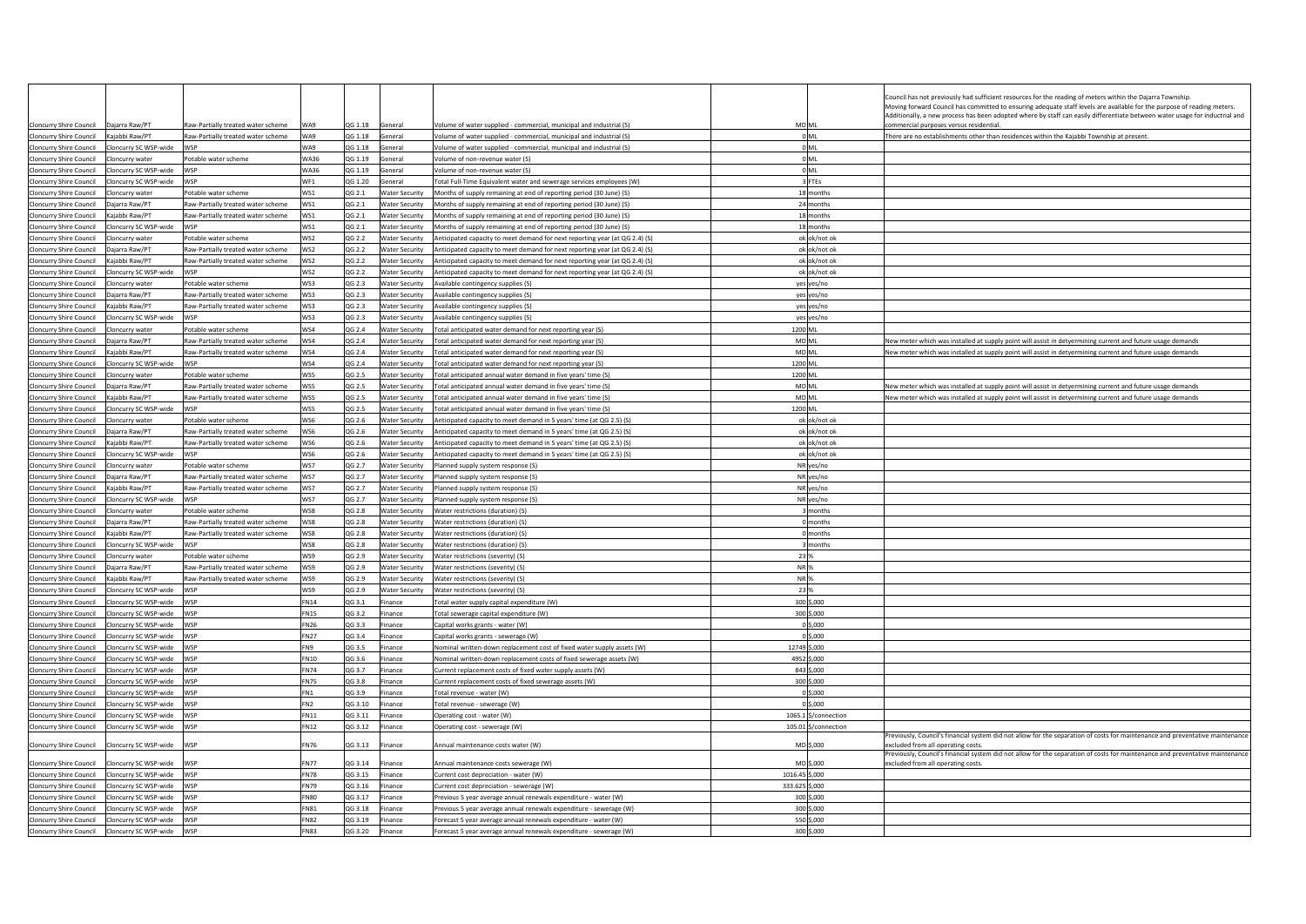|                                                  |                       |                                           |                 |         |                       |                                                                             |                      | Council has not previously had sufficient resources for the reading of meters within the Dajarra Township<br>Moving forward Council has committed to ensuring adequate staff levels are available for the purpose of reading meters.<br>Additionally, a new process has been adopted where by staff can easily differentiate between water usage for inductrial and |
|--------------------------------------------------|-----------------------|-------------------------------------------|-----------------|---------|-----------------------|-----------------------------------------------------------------------------|----------------------|---------------------------------------------------------------------------------------------------------------------------------------------------------------------------------------------------------------------------------------------------------------------------------------------------------------------------------------------------------------------|
| Cloncurry Shire Council   Daiarra Raw/PT         |                       | Raw-Partially treated water scheme        | WA9             | QG 1.18 | General               | Volume of water supplied - commercial, municipal and industrial (S)         | MD ML                | commercial purposes versus residential                                                                                                                                                                                                                                                                                                                              |
| <b>Cloncurry Shire Council</b>                   | Kajabbi Raw/PT        | Raw-Partially treated water scheme        | WA9             | QG 1.18 | General               | Volume of water supplied - commercial, municipal and industrial (S)         | 0 <sub>ML</sub>      | There are no establishments other than residences within the Kajabbi Township at present.                                                                                                                                                                                                                                                                           |
| Cloncurry Shire Council Cloncurry SC WSP-wide    |                       | WSP                                       | WA9             | QG 1.18 | General               | Volume of water supplied - commercial, municipal and industrial (S)         | 0 <sub>ML</sub>      |                                                                                                                                                                                                                                                                                                                                                                     |
| Cloncurry Shire Council Cloncurry water          |                       | Potable water scheme                      | <b>WA36</b>     | QG 1.19 | General               | Volume of non-revenue water (S)                                             | 0 ML                 |                                                                                                                                                                                                                                                                                                                                                                     |
| Cloncurry Shire Council    Cloncurry SC WSP-wide |                       | <b>WSP</b>                                | <b>WA36</b>     | QG 1.19 | General               | Volume of non-revenue water (S)                                             | 0 ML                 |                                                                                                                                                                                                                                                                                                                                                                     |
| Cloncurry Shire Council                          | Cloncurry SC WSP-wide | WSP                                       | WF <sub>1</sub> | QG 1.20 | eneral                | Total Full-Time Equivalent water and sewerage services employees (W)        | 3 FTEs               |                                                                                                                                                                                                                                                                                                                                                                     |
| Cloncurry Shire Council Cloncurry water          |                       | Potable water scheme                      | WS1             | QG 2.1  | <b>Water Security</b> | Months of supply remaining at end of reporting period (30 June) (S)         | 18 months            |                                                                                                                                                                                                                                                                                                                                                                     |
| Cloncurry Shire Council   Dajarra Raw/PT         |                       | Raw-Partially treated water scheme        | WS1             | QG 2.1  | <b>Water Security</b> | Months of supply remaining at end of reporting period (30 June) (S)         | 24 months            |                                                                                                                                                                                                                                                                                                                                                                     |
| Cloncurry Shire Council                          | Kajabbi Raw/PT        | Raw-Partially treated water scheme        | WS1             | QG 2.1  | Water Security        | Months of supply remaining at end of reporting period (30 June) (S)         | 18 months            |                                                                                                                                                                                                                                                                                                                                                                     |
| Cloncurry Shire Council                          | Cloncurry SC WSP-wide | <b>WSP</b>                                | WS1             | QG 2.1  | <b>Nater Security</b> | Months of supply remaining at end of reporting period (30 June) (S)         | 18 months            |                                                                                                                                                                                                                                                                                                                                                                     |
| Cloncurry Shire Council    Cloncurry water       |                       | Potable water scheme                      | WS2             | QG 2.2  | Water Security        | Anticipated capacity to meet demand for next reporting year (at QG 2.4) (S) | ok ok/not ok         |                                                                                                                                                                                                                                                                                                                                                                     |
|                                                  |                       | Raw-Partially treated water scheme        | WS2             | QG 2.2  | Water Security        | Anticipated capacity to meet demand for next reporting year (at QG 2.4) (S) | ok ok/not ok         |                                                                                                                                                                                                                                                                                                                                                                     |
| Cloncurry Shire Council                          | Kajabbi Raw/PT        | Raw-Partially treated water scheme        | WS2             | QG 2.2  | <b>Water Security</b> | Anticipated capacity to meet demand for next reporting year (at QG 2.4) (S) | ok ok/not ok         |                                                                                                                                                                                                                                                                                                                                                                     |
| <b>Cloncurry Shire Council</b>                   | Cloncurry SC WSP-wide | WSP                                       | WS2             | QG 2.2  | <b>Water Security</b> | Anticipated capacity to meet demand for next reporting year (at QG 2.4) (S) | ok ok/not ok         |                                                                                                                                                                                                                                                                                                                                                                     |
| Cloncurry Shire Council Cloncurry water          |                       | Potable water scheme                      | WS3             | QG 2.3  | Water Security        | Available contingency supplies (S)                                          | yes yes/no           |                                                                                                                                                                                                                                                                                                                                                                     |
| Cloncurry Shire Council   Dajarra Raw/PT         |                       | Raw-Partially treated water scheme        | WS3             | QG 2.3  |                       | Water Security Available contingency supplies (S)                           | yes yes/no           |                                                                                                                                                                                                                                                                                                                                                                     |
| Cloncurry Shire Council                          | Kajabbi Raw/PT        | Raw-Partially treated water scheme        | WS3             | QG 2.3  | Water Security        | Available contingency supplies (S)                                          | yes yes/no           |                                                                                                                                                                                                                                                                                                                                                                     |
| Cloncurry Shire Council                          | Cloncurry SC WSP-wide | WSP                                       | WS3             | QG 2.3  | <b>Nater Security</b> | Available contingency supplies (S)                                          | yes yes/no           |                                                                                                                                                                                                                                                                                                                                                                     |
| Cloncurry Shire Council Cloncurry water          |                       | Potable water scheme                      | WS4             | QG 2.4  | Water Security        | Total anticipated water demand for next reporting year (S)                  | 1200 ML              |                                                                                                                                                                                                                                                                                                                                                                     |
|                                                  |                       | Raw-Partially treated water scheme        | WS4             | QG 2.4  | <b>Water Security</b> | Total anticipated water demand for next reporting year (S)                  | MD <sub>ML</sub>     | New meter which was installed at supply point will assist in detyermining current and future usage demands                                                                                                                                                                                                                                                          |
| Cloncurry Shire Council                          | Kaiabbi Raw/PT        | Raw-Partially treated water scheme        | WS4             | QG 2.4  | <b>Water Security</b> | Total anticipated water demand for next reporting year (S)                  | <b>MD ML</b>         | New meter which was installed at supply point will assist in detyermining current and future usage demands                                                                                                                                                                                                                                                          |
| Cloncurry Shire Council                          | Cloncurry SC WSP-wide | WSP                                       | WS4             | QG 2.4  | <b>Water Security</b> | Total anticipated water demand for next reporting year (S)                  | 1200 ML              |                                                                                                                                                                                                                                                                                                                                                                     |
| Cloncurry Shire Council Cloncurry water          |                       | Potable water scheme                      | WS5             | QG 2.5  | Water Security        | Total anticipated annual water demand in five years' time (S)               | 1200 ML              |                                                                                                                                                                                                                                                                                                                                                                     |
|                                                  |                       | Raw-Partially treated water scheme        | WS5             | QG 2.5  | <b>Water Security</b> | Total anticipated annual water demand in five years' time (S)               | MD ML                | New meter which was installed at supply point will assist in detyermining current and future usage demands                                                                                                                                                                                                                                                          |
| Cloncurry Shire Council                          | Kaiabbi Raw/PT        | <b>Raw-Partially treated water scheme</b> | WS5             | OG 2.5  | Water Security        | Total anticipated annual water demand in five years' time (S)               | MD <sub>ML</sub>     | New meter which was installed at supply point will assist in detyermining current and future usage demands                                                                                                                                                                                                                                                          |
| Cloncurry Shire Council                          | Cloncurry SC WSP-wide | WSP                                       | WS5             | QG 2.5  | <b>Water Security</b> | Total anticipated annual water demand in five years' time (S)               | 1200 ML              |                                                                                                                                                                                                                                                                                                                                                                     |
| Cloncurry Shire Council Cloncurry water          |                       | Potable water scheme                      | WS6             | QG 2.6  | <b>Water Security</b> | Anticipated capacity to meet demand in 5 years' time (at QG 2.5) (S)        | ok ok/not ok         |                                                                                                                                                                                                                                                                                                                                                                     |
| Cloncurry Shire Council   Dajarra Raw/PT         |                       | Raw-Partially treated water scheme        | WS6             | QG 2.6  | <b>Water Security</b> | Anticipated capacity to meet demand in 5 years' time (at QG 2.5) (S)        | ok ok/not ok         |                                                                                                                                                                                                                                                                                                                                                                     |
| Cloncurry Shire Council                          | Kajabbi Raw/PT        | Raw-Partially treated water scheme        | WS6             | QG 2.6  | Water Security        | Anticipated capacity to meet demand in 5 years' time (at QG 2.5) (S)        | ok ok/not ok         |                                                                                                                                                                                                                                                                                                                                                                     |
| <b>Cloncurry Shire Council</b>                   | Cloncurry SC WSP-wide | <b>M/SP</b>                               | WS6             | QG 2.6  | <b>Water Security</b> | Anticipated capacity to meet demand in 5 years' time (at QG 2.5) (S)        | ok ok/not ok         |                                                                                                                                                                                                                                                                                                                                                                     |
| Cloncurry Shire Council                          | Cloncurry water       | Potable water scheme                      | WS7             | QG 2.7  | Water Security        | Planned supply system response (S)                                          | NR yes/no            |                                                                                                                                                                                                                                                                                                                                                                     |
| Cloncurry Shire Council   Dajarra Raw/PT         |                       | Raw-Partially treated water scheme        | WS7             | QG 2.7  | <b>Water Security</b> | Planned supply system response (S)                                          | NR yes/no            |                                                                                                                                                                                                                                                                                                                                                                     |
| <b>Cloncurry Shire Council</b>                   | Kajabbi Raw/PT        | Raw-Partially treated water scheme        | WS7             | QG 2.7  | Water Security        | Planned supply system response (S)                                          | NR yes/no            |                                                                                                                                                                                                                                                                                                                                                                     |
| Cloncurry Shire Council                          | Cloncurry SC WSP-wide | <b>WSP</b>                                | WS7             | QG 2.7  | <b>Water Security</b> | Planned supply system response (S)                                          | NR yes/no            |                                                                                                                                                                                                                                                                                                                                                                     |
| Cloncurry Shire Council Cloncurry water          |                       | Potable water scheme                      | WS8             | QG 2.8  | <b>Water Security</b> | Water restrictions (duration) (S)                                           | months               |                                                                                                                                                                                                                                                                                                                                                                     |
|                                                  |                       | Raw-Partially treated water scheme        | WS8             | QG 2.8  | Water Security        | Water restrictions (duration) (S)                                           | 0 months             |                                                                                                                                                                                                                                                                                                                                                                     |
| Cloncurry Shire Council                          | Kajabbi Raw/PT        | Raw-Partially treated water scheme        | WS8             | QG 2.8  | <b>Water Security</b> | Water restrictions (duration) (S)                                           | 0 months             |                                                                                                                                                                                                                                                                                                                                                                     |
| Cloncurry Shire Council                          | Cloncurry SC WSP-wide | <b>M/SP</b>                               | <b>WS8</b>      | QG 2.8  | <b>Water Security</b> | Water restrictions (duration) (S)                                           | months               |                                                                                                                                                                                                                                                                                                                                                                     |
| Cloncurry Shire Council                          | Cloncurry water       | Potable water scheme                      | WS9             | QG 2.9  | Water Security        | Water restrictions (severity) (S)                                           | 23 9                 |                                                                                                                                                                                                                                                                                                                                                                     |
| Cloncurry Shire Council   Dajarra Raw/PT         |                       | Raw-Partially treated water scheme        | WS9             | QG 2.9  | Water Security        | Water restrictions (severity) (S)                                           | NR <sub>9</sub>      |                                                                                                                                                                                                                                                                                                                                                                     |
| Cloncurry Shire Council                          | Kajabbi Raw/PT        | Raw-Partially treated water scheme        | WS9             | QG 2.9  | Water Security        | Water restrictions (severity) (S)                                           | NR <sub>9</sub>      |                                                                                                                                                                                                                                                                                                                                                                     |
| Cloncurry Shire Council                          | Cloncurry SC WSP-wide | WSP                                       | WS9             | QG 2.9  | <b>Nater Security</b> | Water restrictions (severity) (S)                                           | 23 %                 |                                                                                                                                                                                                                                                                                                                                                                     |
| Cloncurry Shire Council    Cloncurry SC WSP-wide |                       | WSP                                       | <b>FN14</b>     | QG 3.1  | inance                | Total water supply capital expenditure (W)                                  | 300 \$,000           |                                                                                                                                                                                                                                                                                                                                                                     |
| Cloncurry Shire Council    Cloncurry SC WSP-wide |                       | WSP                                       | <b>FN15</b>     | QG 3.2  | Finance               | Total sewerage capital expenditure (W)                                      | 300 \$,000           |                                                                                                                                                                                                                                                                                                                                                                     |
| Cloncurry Shire Council                          | Cloncurry SC WSP-wide | WSP                                       | <b>FN26</b>     | QG 3.3  | inance                | Capital works grants - water (W)                                            | $0$ \$,000           |                                                                                                                                                                                                                                                                                                                                                                     |
| Cloncurry Shire Council                          | Cloncurry SC WSP-wide | WSP                                       | <b>FN27</b>     | QG 3.4  | inance                | Capital works grants - sewerage (W)                                         | $0$ \$,000           |                                                                                                                                                                                                                                                                                                                                                                     |
| Cloncurry Shire Council    Cloncurry SC WSP-wide |                       | <b>WSP</b>                                | FN9             | QG 3.5  | inance                | Nominal written-down replacement cost of fixed water supply assets (W)      | 12749 \$,000         |                                                                                                                                                                                                                                                                                                                                                                     |
| Cloncurry Shire Council    Cloncurry SC WSP-wide |                       | WSP                                       | <b>FN10</b>     | QG 3.6  | Finance               | Nominal written-down replacement costs of fixed sewerage assets (W)         | 4952 \$,000          |                                                                                                                                                                                                                                                                                                                                                                     |
| Cloncurry Shire Council                          | Cloncurry SC WSP-wide | WSP                                       | <b>FN74</b>     | QG 3.7  | inance                | Current replacement costs of fixed water supply assets (W)                  | 843 \$,000           |                                                                                                                                                                                                                                                                                                                                                                     |
| Cloncurry Shire Council                          | Cloncurry SC WSP-wide | WSP                                       | <b>FN75</b>     | QG 3.8  | inance                | Current replacement costs of fixed sewerage assets (W)                      | 300 \$,000           |                                                                                                                                                                                                                                                                                                                                                                     |
| Cloncurry Shire Council    Cloncurry SC WSP-wide |                       | <b>WSP</b>                                | FN1             | QG 3.9  | inance                | Total revenue - water (W)                                                   | $0$ \$,000           |                                                                                                                                                                                                                                                                                                                                                                     |
| Cloncurry Shire Council    Cloncurry SC WSP-wide |                       | WSP                                       | FN <sub>2</sub> | QG 3.10 | inance                | Total revenue - sewerage (W)                                                | 0 \$,000             |                                                                                                                                                                                                                                                                                                                                                                     |
| <b>Cloncurry Shire Council</b>                   | Cloncurry SC WSP-wide | WSP                                       | <b>FN11</b>     | QG 3.11 | inance                | Operating cost - water (W)                                                  | 1065.1 \$/connection |                                                                                                                                                                                                                                                                                                                                                                     |
| <b>Cloncurry Shire Council</b>                   | Cloncurry SC WSP-wide | WSP                                       | <b>FN12</b>     | QG 3.12 | inance                | Operating cost - sewerage (W)                                               | 105.01 \$/connection |                                                                                                                                                                                                                                                                                                                                                                     |
| Cloncurry Shire Council    Cloncurry SC WSP-wide |                       | WSP                                       | <b>FN76</b>     | QG 3.13 | Finance               | Annual maintenance costs water (W)                                          | MD \$,000            | Previously, Council's financial system did not allow for the separation of costs for maintenance and preventative maintenance<br>excluded from all operating costs.                                                                                                                                                                                                 |
| Cloncurry Shire Council                          | Cloncurry SC WSP-wide | WSP                                       | <b>FN77</b>     | QG 3.14 | inance                | Annual maintenance costs sewerage (W)                                       | MD \$.000            | Previously, Council's financial system did not allow for the separation of costs for maintenance and preventative maintenance<br>excluded from all operating costs                                                                                                                                                                                                  |
| Cloncurry Shire Council    Cloncurry SC WSP-wide |                       | WSP                                       | <b>FN78</b>     | QG 3.15 | Finance               | Current cost depreciation - water (W)                                       | 1016.45 \$,000       |                                                                                                                                                                                                                                                                                                                                                                     |
| Cloncurry Shire Council                          | Cloncurry SC WSP-wide | WSP                                       | <b>FN79</b>     | QG 3.16 | inance                | Current cost depreciation - sewerage (W)                                    | 333.625 \$,000       |                                                                                                                                                                                                                                                                                                                                                                     |
| Cloncurry Shire Council                          | Cloncurry SC WSP-wide | WSP                                       | <b>FN80</b>     | QG 3.17 | inance                | Previous 5 year average annual renewals expenditure - water (W)             | 300 \$,000           |                                                                                                                                                                                                                                                                                                                                                                     |
| Cloncurry Shire Council                          | Cloncurry SC WSP-wide | <b>WSP</b>                                | <b>FN81</b>     | QG 3.18 | inance                | Previous 5 year average annual renewals expenditure - sewerage (W)          | 300 \$,000           |                                                                                                                                                                                                                                                                                                                                                                     |
| Cloncurry Shire Council Cloncurry SC WSP-wide    |                       | WSP                                       | FN82            | QG 3.19 | Finance               | Forecast 5 year average annual renewals expenditure - water (W)             | 550 \$,000           |                                                                                                                                                                                                                                                                                                                                                                     |
| Cloncurry Shire Council Cloncurry SC WSP-wide    |                       | WSP                                       | <b>FN83</b>     | QG 3.20 | inance                | Forecast 5 year average annual renewals expenditure - sewerage (W)          | 300 \$,000           |                                                                                                                                                                                                                                                                                                                                                                     |
|                                                  |                       |                                           |                 |         |                       |                                                                             |                      |                                                                                                                                                                                                                                                                                                                                                                     |